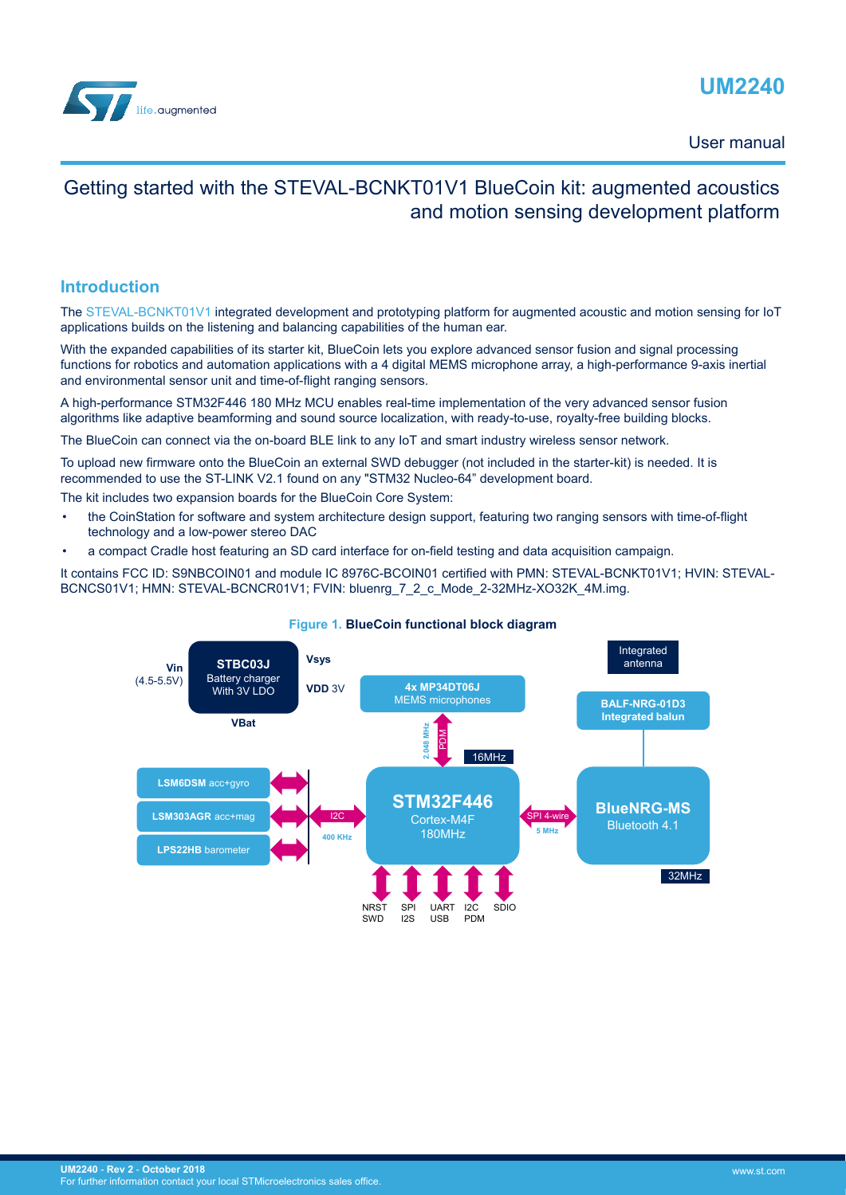<span id="page-0-0"></span>

# **UM2240**

User manual

## Getting started with the STEVAL-BCNKT01V1 BlueCoin kit: augmented acoustics and motion sensing development platform

### **Introduction**

The [STEVAL-BCNKT01V1](https://www.st.com/en/product/steval-bcnkt01v1) integrated development and prototyping platform for augmented acoustic and motion sensing for IoT applications builds on the listening and balancing capabilities of the human ear.

With the expanded capabilities of its starter kit, BlueCoin lets you explore advanced sensor fusion and signal processing functions for robotics and automation applications with a 4 digital MEMS microphone array, a high-performance 9-axis inertial and environmental sensor unit and time-of-flight ranging sensors.

A high-performance STM32F446 180 MHz MCU enables real-time implementation of the very advanced sensor fusion algorithms like adaptive beamforming and sound source localization, with ready-to-use, royalty-free building blocks.

The BlueCoin can connect via the on-board BLE link to any IoT and smart industry wireless sensor network.

To upload new firmware onto the BlueCoin an external SWD debugger (not included in the starter-kit) is needed. It is recommended to use the ST-LINK V2.1 found on any "STM32 Nucleo-64" development board.

The kit includes two expansion boards for the BlueCoin Core System:

- the CoinStation for software and system architecture design support, featuring two ranging sensors with time-of-flight technology and a low-power stereo DAC
- a compact Cradle host featuring an SD card interface for on-field testing and data acquisition campaign.

It contains FCC ID: S9NBCOIN01 and module IC 8976C-BCOIN01 certified with PMN: STEVAL-BCNKT01V1; HVIN: STEVAL-BCNCS01V1; HMN: STEVAL-BCNCR01V1; FVIN: bluenrg\_7\_2\_c\_Mode\_2-32MHz-XO32K\_4M.img.



#### **Figure 1. BlueCoin functional block diagram**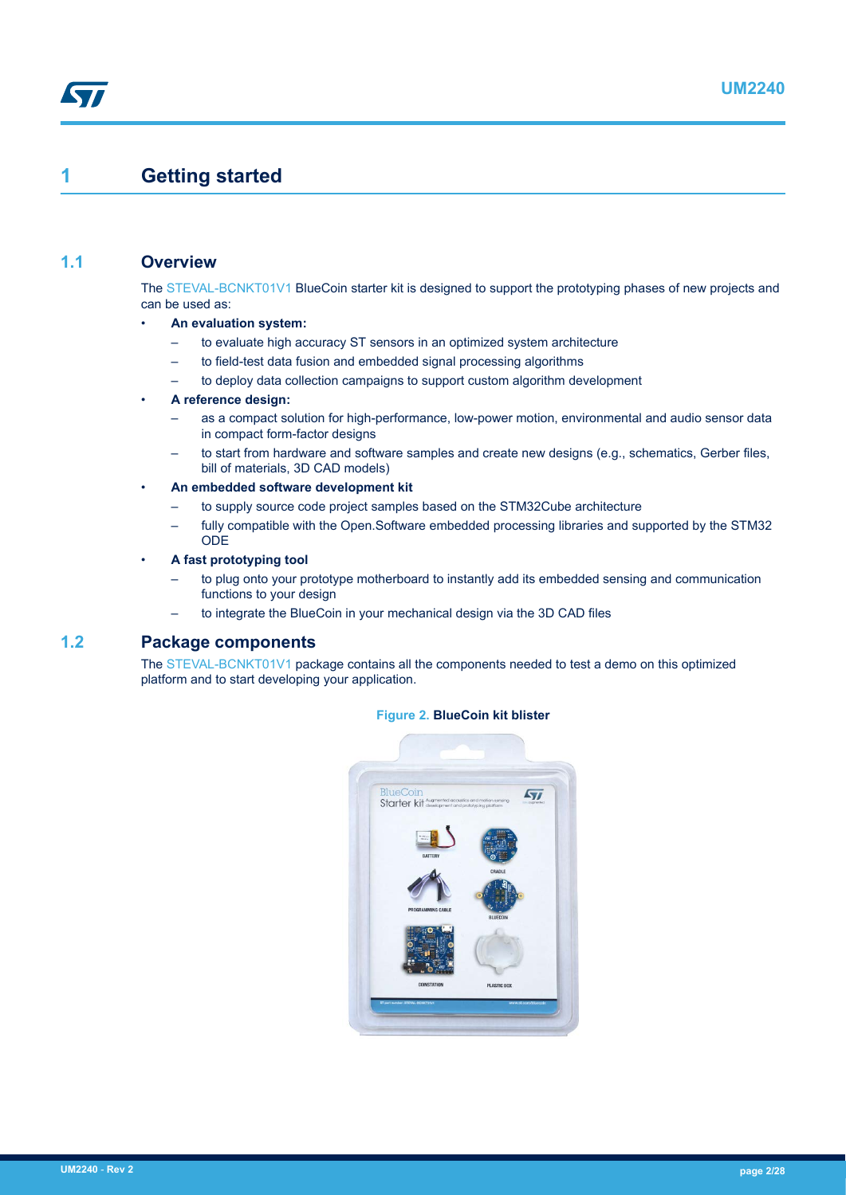## **1 Getting started**

## **1.1 Overview**

57

The [STEVAL-BCNKT01V1](https://www.st.com/en/product/steval-bcnkt01v1) BlueCoin starter kit is designed to support the prototyping phases of new projects and can be used as:

- **An evaluation system:**
	- to evaluate high accuracy ST sensors in an optimized system architecture
	- to field-test data fusion and embedded signal processing algorithms
	- to deploy data collection campaigns to support custom algorithm development

#### • **A reference design:**

- as a compact solution for high-performance, low-power motion, environmental and audio sensor data in compact form-factor designs
- to start from hardware and software samples and create new designs (e.g., schematics, Gerber files, bill of materials, 3D CAD models)
- **An embedded software development kit**
	- to supply source code project samples based on the STM32Cube architecture
	- fully compatible with the Open.Software embedded processing libraries and supported by the STM32 ODE

#### • **A fast prototyping tool**

- to plug onto your prototype motherboard to instantly add its embedded sensing and communication functions to your design
- to integrate the BlueCoin in your mechanical design via the 3D CAD files

### **1.2 Package components**

The [STEVAL-BCNKT01V1](https://www.st.com/en/product/steval-bcnkt01v1) package contains all the components needed to test a demo on this optimized platform and to start developing your application.



#### **Figure 2. BlueCoin kit blister**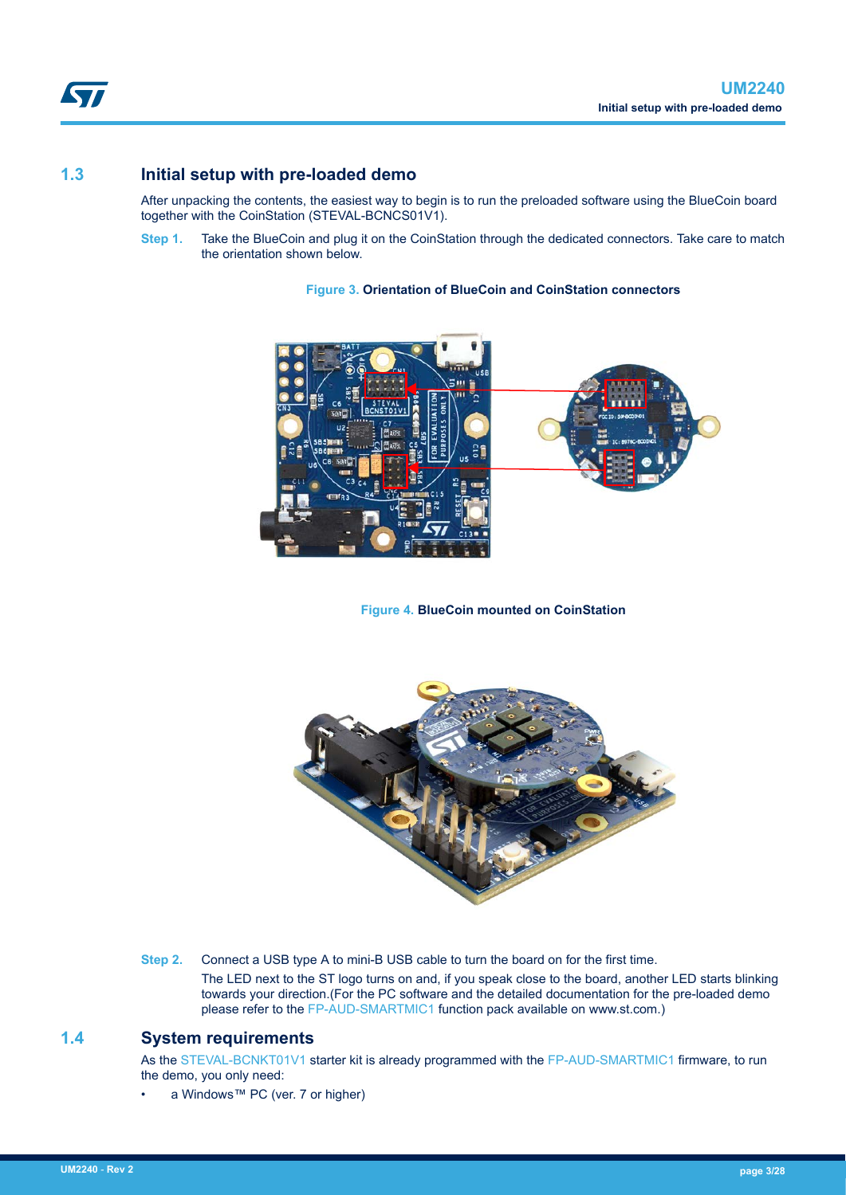## **1.3 Initial setup with pre-loaded demo**

<span id="page-2-0"></span>ST

After unpacking the contents, the easiest way to begin is to run the preloaded software using the BlueCoin board together with the CoinStation (STEVAL-BCNCS01V1).

**Step 1.** Take the BlueCoin and plug it on the CoinStation through the dedicated connectors. Take care to match the orientation shown below.

## **Figure 3. Orientation of BlueCoin and CoinStation connectors**



**Figure 4. BlueCoin mounted on CoinStation**



**Step 2.** Connect a USB type A to mini-B USB cable to turn the board on for the first time.

The LED next to the ST logo turns on and, if you speak close to the board, another LED starts blinking towards your direction.(For the PC software and the detailed documentation for the pre-loaded demo please refer to the [FP-AUD-SMARTMIC1](https://www.st.com/en/product/fp-aud-smartmic1) function pack available on www.st.com.)

## **1.4 System requirements**

As the [STEVAL-BCNKT01V1](https://www.st.com/en/product/steval-bcnkt01v1) starter kit is already programmed with the [FP-AUD-SMARTMIC1](https://www.st.com/en/product/fp-aud-smartmic1) firmware, to run the demo, you only need:

a Windows™ PC (ver. 7 or higher)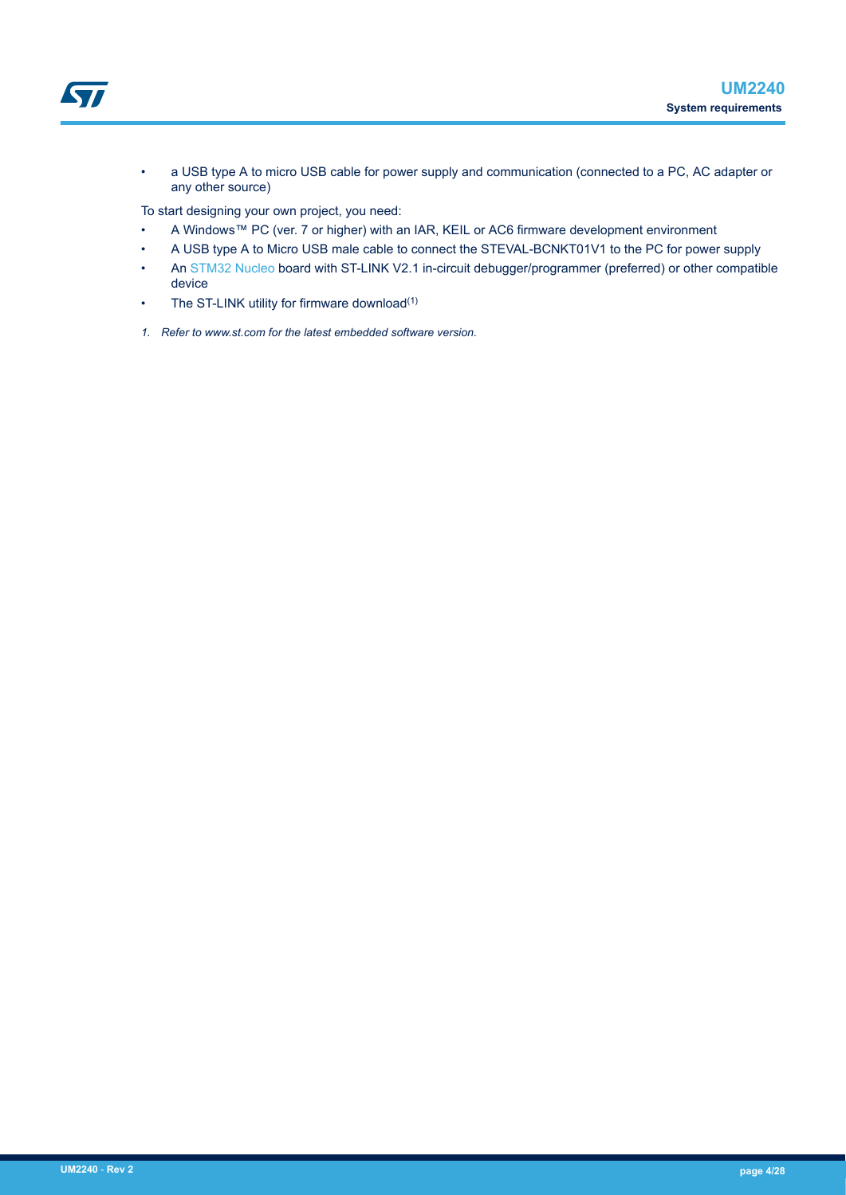

• a USB type A to micro USB cable for power supply and communication (connected to a PC, AC adapter or any other source)

To start designing your own project, you need:

- A Windows™ PC (ver. 7 or higher) with an IAR, KEIL or AC6 firmware development environment
- A USB type A to Micro USB male cable to connect the STEVAL-BCNKT01V1 to the PC for power supply
- An [STM32 Nucleo](https://www.st.com/stm32nucleo) board with ST-LINK V2.1 in-circuit debugger/programmer (preferred) or other compatible device
- The ST-LINK utility for firmware download<sup>(1)</sup>
- *1. Refer to www.st.com for the latest embedded software version.*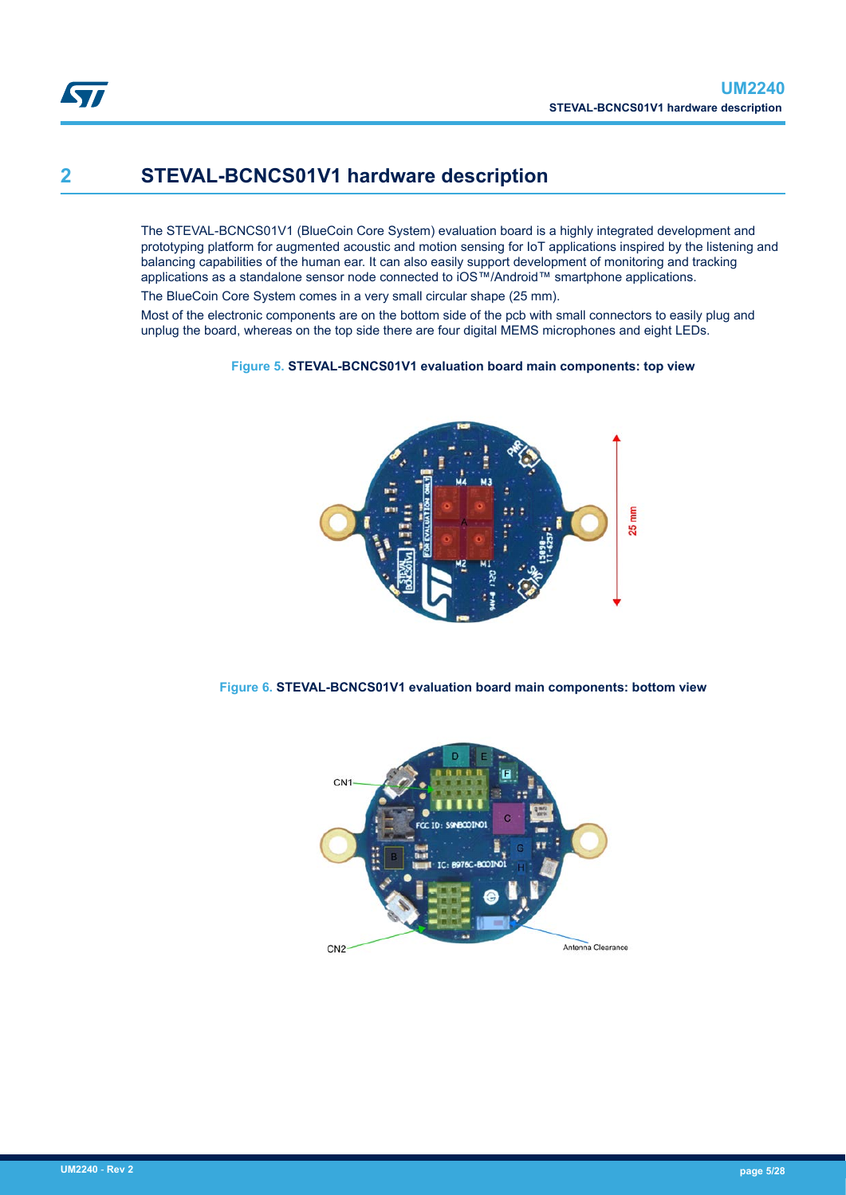# **2 STEVAL-BCNCS01V1 hardware description**

The STEVAL-BCNCS01V1 (BlueCoin Core System) evaluation board is a highly integrated development and prototyping platform for augmented acoustic and motion sensing for IoT applications inspired by the listening and balancing capabilities of the human ear. It can also easily support development of monitoring and tracking applications as a standalone sensor node connected to iOS™/Android™ smartphone applications.

The BlueCoin Core System comes in a very small circular shape (25 mm).

Most of the electronic components are on the bottom side of the pcb with small connectors to easily plug and unplug the board, whereas on the top side there are four digital MEMS microphones and eight LEDs.

### **Figure 5. STEVAL-BCNCS01V1 evaluation board main components: top view**



**Figure 6. STEVAL-BCNCS01V1 evaluation board main components: bottom view**

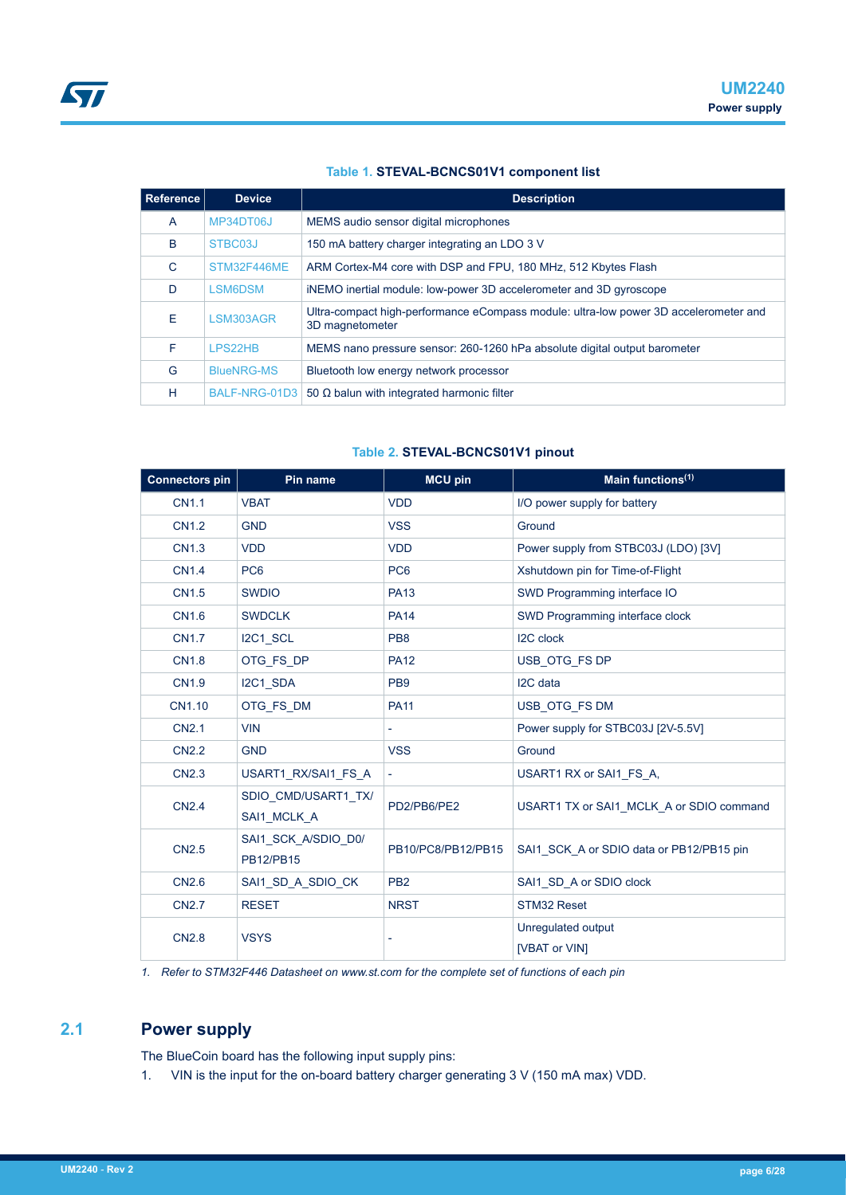### **Table 1. STEVAL-BCNCS01V1 component list**

| Reference | <b>Device</b>     | <b>Description</b>                                                                                      |
|-----------|-------------------|---------------------------------------------------------------------------------------------------------|
| A         | MP34DT06J         | MEMS audio sensor digital microphones                                                                   |
| B         | STBC03J           | 150 mA battery charger integrating an LDO 3 V                                                           |
| C         | STM32F446ME       | ARM Cortex-M4 core with DSP and FPU, 180 MHz, 512 Kbytes Flash                                          |
| D         | <b>LSM6DSM</b>    | iNEMO inertial module: low-power 3D accelerometer and 3D gyroscope                                      |
| Е         | LSM303AGR         | Ultra-compact high-performance eCompass module: ultra-low power 3D accelerometer and<br>3D magnetometer |
| F         | <b>I PS22HB</b>   | MEMS nano pressure sensor: 260-1260 hPa absolute digital output barometer                               |
| G         | <b>BlueNRG-MS</b> | Bluetooth low energy network processor                                                                  |
| н         |                   | BALF-NRG-01D3   50 $\Omega$ balun with integrated harmonic filter                                       |

### **Table 2. STEVAL-BCNCS01V1 pinout**

| <b>Connectors pin</b> | Pin name                           | <b>MCU pin</b>           | Main functions <sup>(1)</sup>            |
|-----------------------|------------------------------------|--------------------------|------------------------------------------|
| <b>CN1.1</b>          | <b>VBAT</b>                        | <b>VDD</b>               | I/O power supply for battery             |
| <b>CN1.2</b>          | <b>GND</b>                         | <b>VSS</b>               | Ground                                   |
| <b>CN1.3</b>          | <b>VDD</b>                         | <b>VDD</b>               | Power supply from STBC03J (LDO) [3V]     |
| <b>CN1.4</b>          | PC <sub>6</sub>                    | PC <sub>6</sub>          | Xshutdown pin for Time-of-Flight         |
| CN1.5                 | <b>SWDIO</b>                       | <b>PA13</b>              | SWD Programming interface IO             |
| <b>CN1.6</b>          | <b>SWDCLK</b>                      | <b>PA14</b>              | SWD Programming interface clock          |
| <b>CN1.7</b>          | I2C1 SCL                           | PB <sub>8</sub>          | I2C clock                                |
| <b>CN1.8</b>          | OTG FS DP                          | <b>PA12</b>              | USB_OTG_FS DP                            |
| <b>CN1.9</b>          | I2C1_SDA                           | PB <sub>9</sub>          | I2C data                                 |
| CN1.10                | OTG_FS_DM                          | <b>PA11</b>              | USB_OTG_FS DM                            |
| <b>CN2.1</b>          | <b>VIN</b>                         |                          | Power supply for STBC03J [2V-5.5V]       |
| <b>CN2.2</b>          | <b>GND</b>                         | <b>VSS</b>               | Ground                                   |
| <b>CN2.3</b>          | USART1 RX/SAI1 FS A                | $\overline{\phantom{a}}$ | USART1 RX or SAI1 FS A,                  |
| <b>CN2.4</b>          | SDIO_CMD/USART1_TX/<br>SAI1_MCLK_A | PD2/PB6/PE2              | USART1 TX or SAI1 MCLK A or SDIO command |
| <b>CN2.5</b>          | SAI1_SCK_A/SDIO_D0/<br>PB12/PB15   | PB10/PC8/PB12/PB15       | SAI1 SCK A or SDIO data or PB12/PB15 pin |
| CN <sub>2.6</sub>     | SAI1 SD A SDIO CK                  | PB <sub>2</sub>          | SAI1 SD A or SDIO clock                  |
| <b>CN2.7</b>          | <b>RESET</b>                       | <b>NRST</b>              | STM32 Reset                              |
| <b>CN2.8</b>          | <b>VSYS</b>                        |                          | Unregulated output<br>[VBAT or VIN]      |

*1. Refer to STM32F446 Datasheet on www.st.com for the complete set of functions of each pin*

## **2.1 Power supply**

The BlueCoin board has the following input supply pins:

1. VIN is the input for the on-board battery charger generating 3 V (150 mA max) VDD.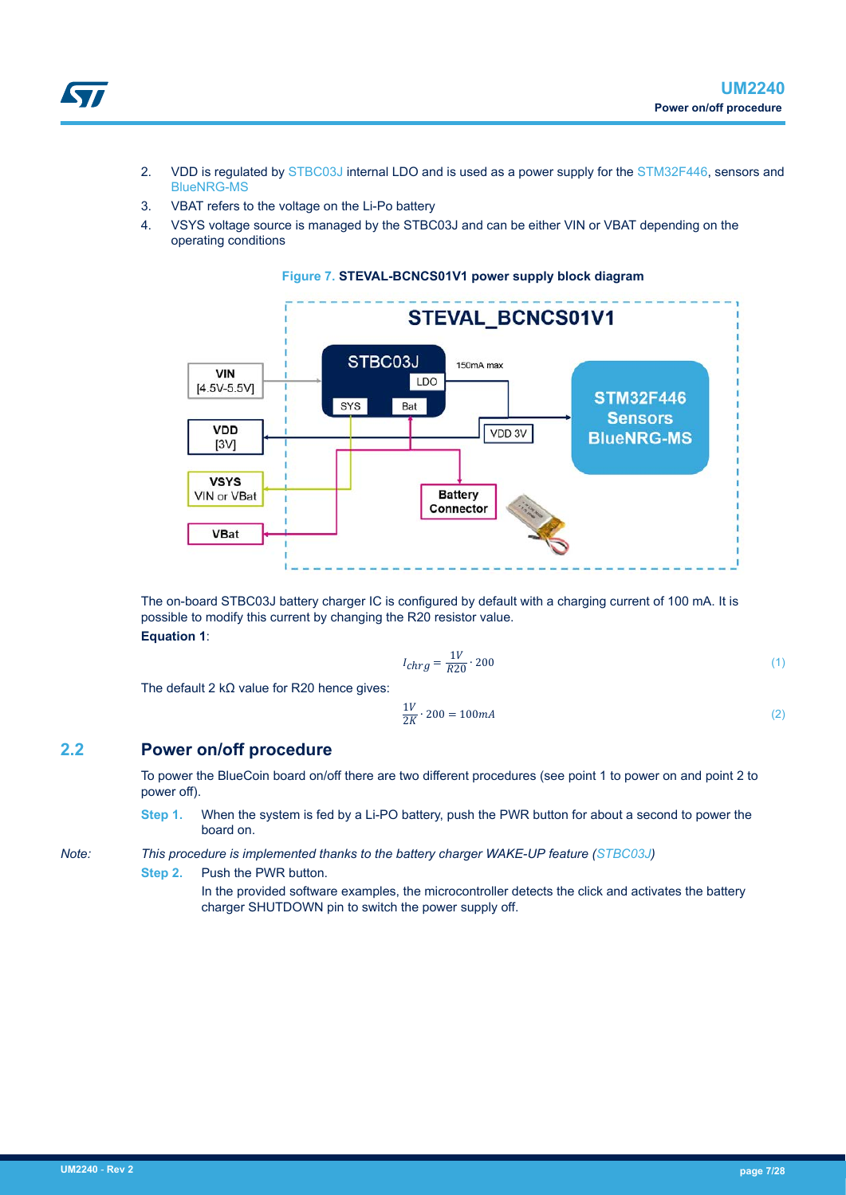- 2. VDD is regulated by [STBC03J](https://www.st.com/en/product/STBC03) internal LDO and is used as a power supply for the [STM32F446](https://www.st.com/en/product/STM32F446ME), sensors and [BlueNRG-MS](https://www.st.com/en/product/bluenrg-ms)
- 3. VBAT refers to the voltage on the Li-Po battery
- 4. VSYS voltage source is managed by the STBC03J and can be either VIN or VBAT depending on the operating conditions



**Figure 7. STEVAL-BCNCS01V1 power supply block diagram**

The on-board STBC03J battery charger IC is configured by default with a charging current of 100 mA. It is possible to modify this current by changing the R20 resistor value. **Equation 1**:

$$
I_{chrg} = \frac{1V}{R20} \cdot 200\tag{1}
$$

The default 2 kΩ value for R20 hence gives:

$$
\frac{1V}{2K} \cdot 200 = 100mA \tag{2}
$$

### **2.2 Power on/off procedure**

To power the BlueCoin board on/off there are two different procedures (see point 1 to power on and point 2 to power off).

**Step 1.** When the system is fed by a Li-PO battery, push the PWR button for about a second to power the board on.

*Note: This procedure is implemented thanks to the battery charger WAKE-UP feature ([STBC03J](https://www.st.com/en/product/STBC03))*

**Step 2.** Push the PWR button.

In the provided software examples, the microcontroller detects the click and activates the battery charger SHUTDOWN pin to switch the power supply off.

57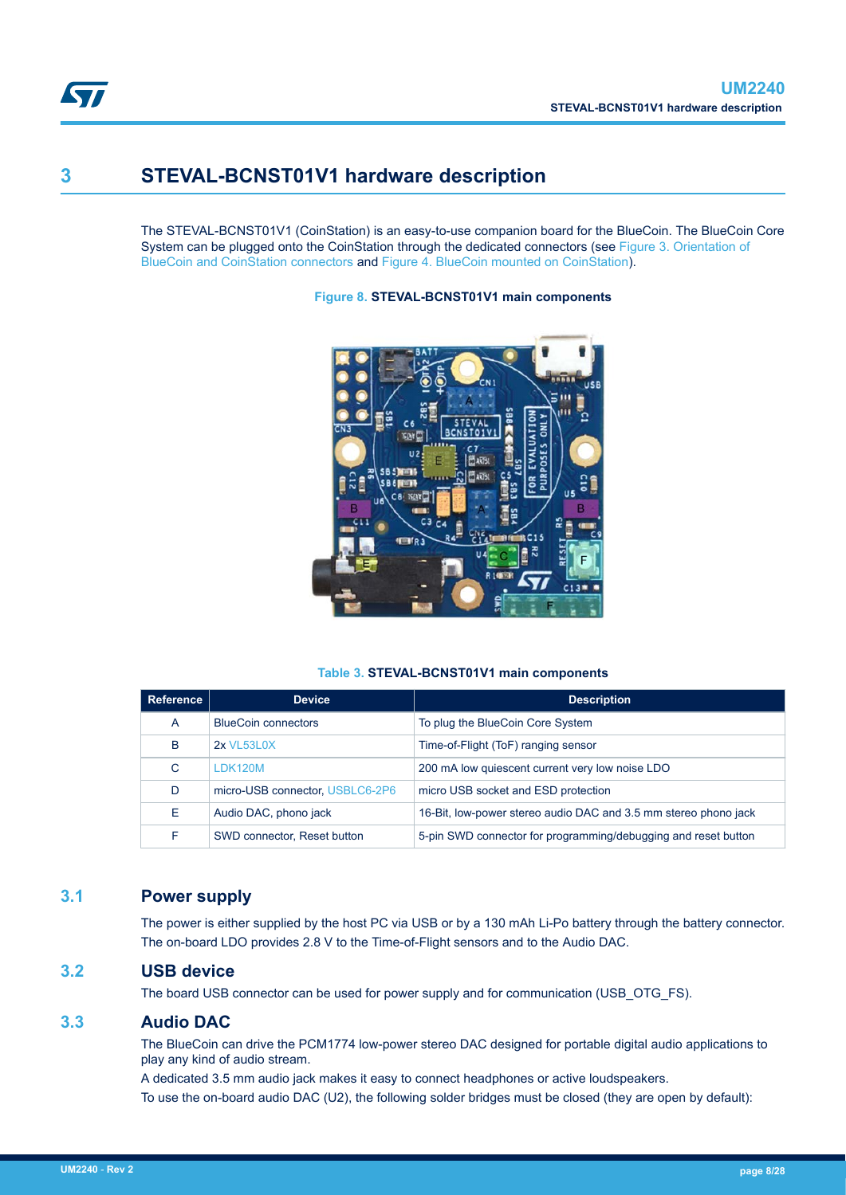

## **3 STEVAL-BCNST01V1 hardware description**

The STEVAL-BCNST01V1 (CoinStation) is an easy-to-use companion board for the BlueCoin. The BlueCoin Core System can be plugged onto the CoinStation through the dedicated connectors (see [Figure 3. Orientation of](#page-2-0) [BlueCoin and CoinStation connectors](#page-2-0) and [Figure 4. BlueCoin mounted on CoinStation](#page-2-0)).

**Figure 8. STEVAL-BCNST01V1 main components**



#### **Table 3. STEVAL-BCNST01V1 main components**

| Reference | <b>Device</b>                   | <b>Description</b>                                              |
|-----------|---------------------------------|-----------------------------------------------------------------|
| A         | <b>BlueCoin connectors</b>      | To plug the BlueCoin Core System                                |
| B         | <b>2x VL53L0X</b>               | Time-of-Flight (ToF) ranging sensor                             |
| C         | LDK120M                         | 200 mA low quiescent current very low noise LDO                 |
| D         | micro-USB connector, USBLC6-2P6 | micro USB socket and ESD protection                             |
| E.        | Audio DAC, phono jack           | 16-Bit, low-power stereo audio DAC and 3.5 mm stereo phono jack |
| F         | SWD connector, Reset button     | 5-pin SWD connector for programming/debugging and reset button  |

## **3.1 Power supply**

The power is either supplied by the host PC via USB or by a 130 mAh Li-Po battery through the battery connector. The on-board LDO provides 2.8 V to the Time-of-Flight sensors and to the Audio DAC.

## **3.2 USB device**

The board USB connector can be used for power supply and for communication (USB\_OTG\_FS).

## **3.3 Audio DAC**

The BlueCoin can drive the PCM1774 low-power stereo DAC designed for portable digital audio applications to play any kind of audio stream.

A dedicated 3.5 mm audio jack makes it easy to connect headphones or active loudspeakers. To use the on-board audio DAC (U2), the following solder bridges must be closed (they are open by default):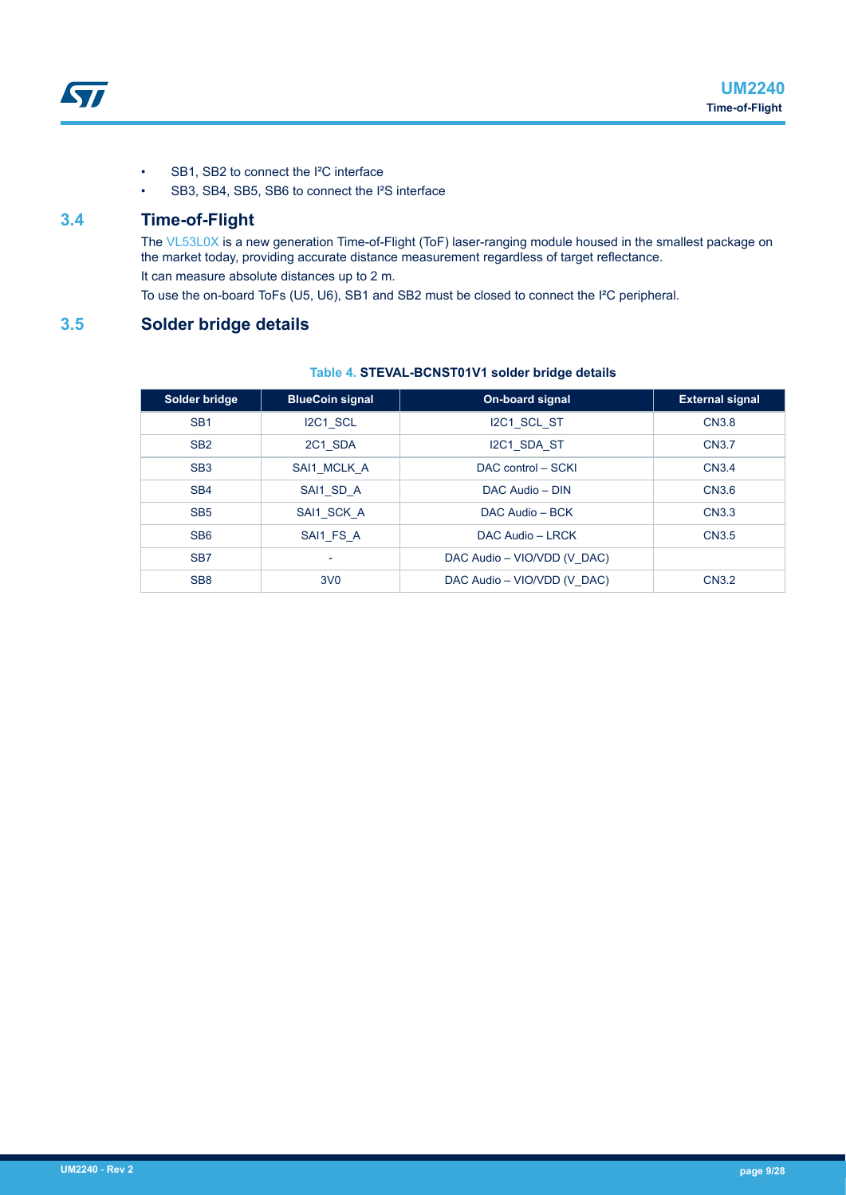- SB1, SB2 to connect the I²C interface
- SB3, SB4, SB5, SB6 to connect the I<sup>2</sup>S interface

### **3.4 Time-of-Flight**

The [VL53L0X](https://www.st.com/en/product/vl53l0x) is a new generation Time-of-Flight (ToF) laser-ranging module housed in the smallest package on the market today, providing accurate distance measurement regardless of target reflectance. It can measure absolute distances up to 2 m. To use the on-board ToFs (U5, U6), SB1 and SB2 must be closed to connect the I²C peripheral.

# **3.5 Solder bridge details**

#### **Table 4. STEVAL-BCNST01V1 solder bridge details**

| Solder bridge   | <b>BlueCoin signal</b>   | On-board signal             | <b>External signal</b> |
|-----------------|--------------------------|-----------------------------|------------------------|
| SB <sub>1</sub> | I2C1 SCL                 | I2C1 SCL ST                 | <b>CN3.8</b>           |
| SB <sub>2</sub> | 2C1 SDA                  | I2C1 SDA ST                 | CN3.7                  |
| SB <sub>3</sub> | SAI1 MCLK A              | DAC control - SCKI          | CN <sub>3.4</sub>      |
| SB <sub>4</sub> | SAI1 SD A                | DAC Audio - DIN             | CN3.6                  |
| SB <sub>5</sub> | SAI1 SCK A               | DAC Audio - BCK             | <b>CN3.3</b>           |
| SB <sub>6</sub> | SAI1 FS A                | DAC Audio - LRCK            | CN3.5                  |
| SB <sub>7</sub> | $\overline{\phantom{0}}$ | DAC Audio - VIO/VDD (V DAC) |                        |
| SB <sub>8</sub> | 3V <sub>0</sub>          | DAC Audio - VIO/VDD (V DAC) | <b>CN3.2</b>           |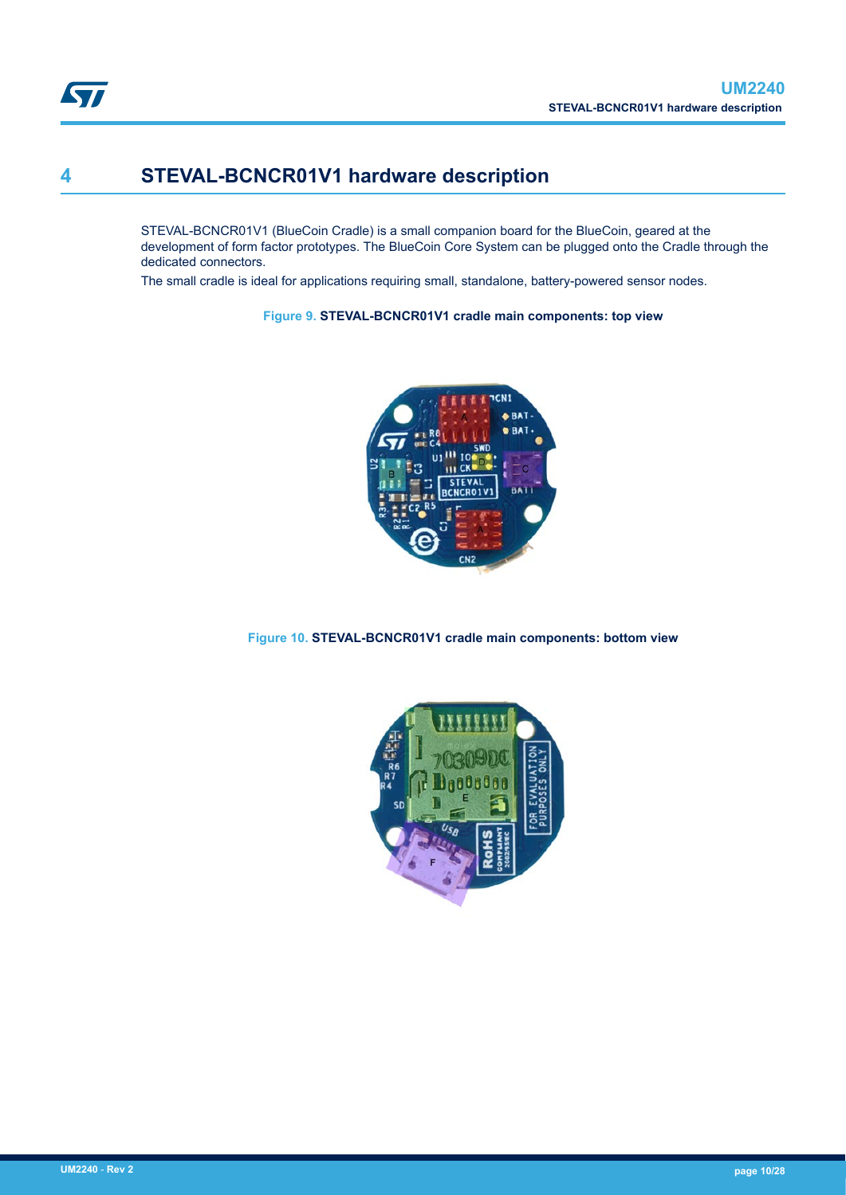

## **4 STEVAL-BCNCR01V1 hardware description**

STEVAL-BCNCR01V1 (BlueCoin Cradle) is a small companion board for the BlueCoin, geared at the development of form factor prototypes. The BlueCoin Core System can be plugged onto the Cradle through the dedicated connectors.

The small cradle is ideal for applications requiring small, standalone, battery-powered sensor nodes.

**Figure 9. STEVAL-BCNCR01V1 cradle main components: top view**



**Figure 10. STEVAL-BCNCR01V1 cradle main components: bottom view**

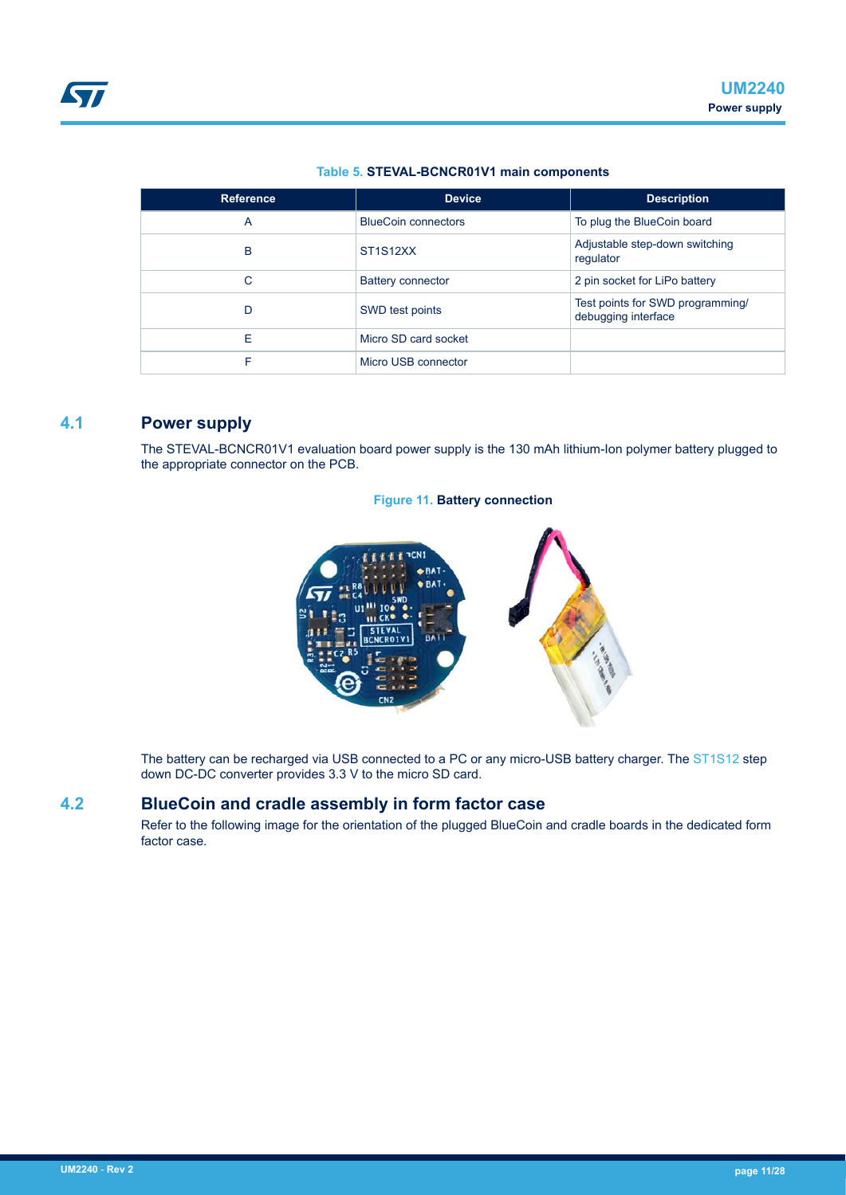#### **Table 5. STEVAL-BCNCR01V1 main components**

| <b>Reference</b> | <b>Device</b>              | <b>Description</b>                                      |
|------------------|----------------------------|---------------------------------------------------------|
| A                | <b>BlueCoin connectors</b> | To plug the BlueCoin board                              |
| B                | ST1S12XX                   | Adjustable step-down switching<br>regulator             |
| C                | <b>Battery connector</b>   | 2 pin socket for LiPo battery                           |
| D                | SWD test points            | Test points for SWD programming/<br>debugging interface |
| F                | Micro SD card socket       |                                                         |
| F                | Micro USB connector        |                                                         |

## **4.1 Power supply**

The STEVAL-BCNCR01V1 evaluation board power supply is the 130 mAh lithium-Ion polymer battery plugged to the appropriate connector on the PCB.

#### **Figure 11. Battery connection**



The battery can be recharged via USB connected to a PC or any micro-USB battery charger. The [ST1S12](https://www.st.com/en/product/ST1S12xx) step down DC-DC converter provides 3.3 V to the micro SD card.

## **4.2 BlueCoin and cradle assembly in form factor case**

Refer to the following image for the orientation of the plugged BlueCoin and cradle boards in the dedicated form factor case.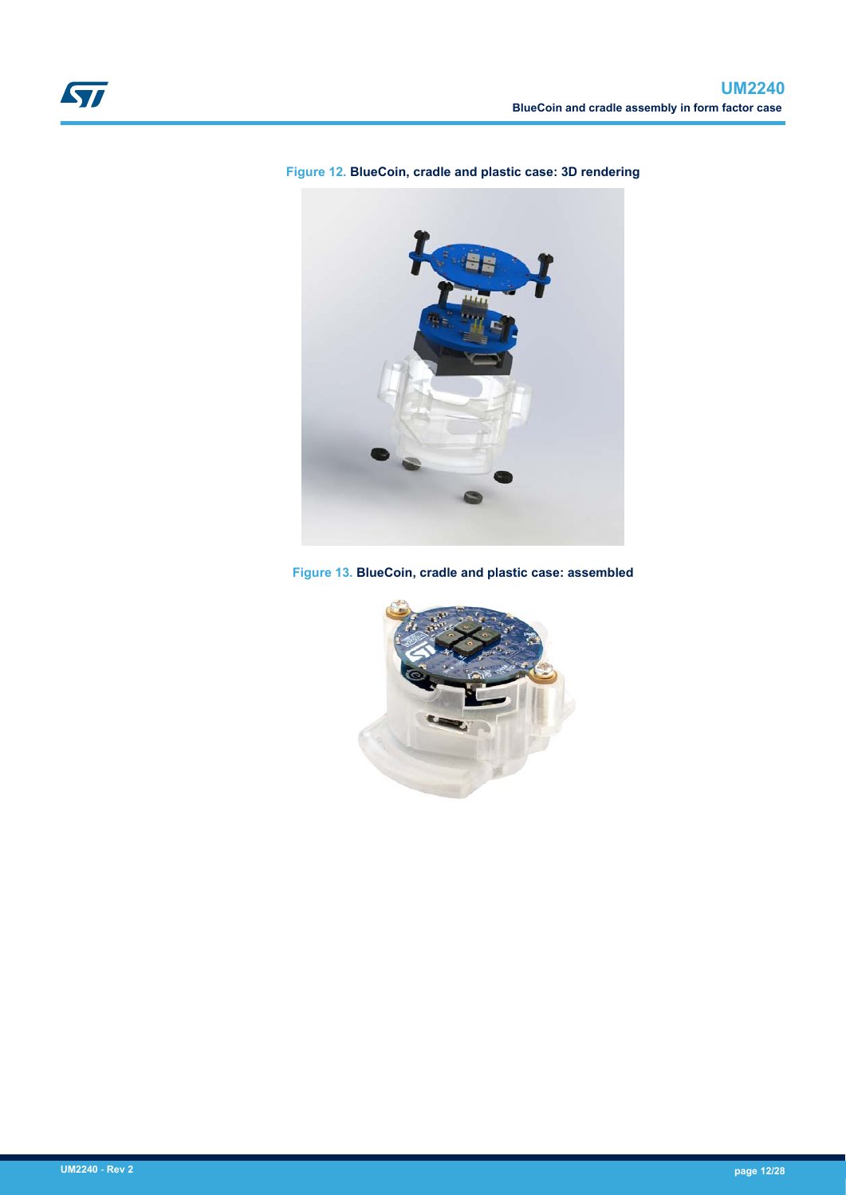

### **Figure 12. BlueCoin, cradle and plastic case: 3D rendering**



**Figure 13. BlueCoin, cradle and plastic case: assembled**

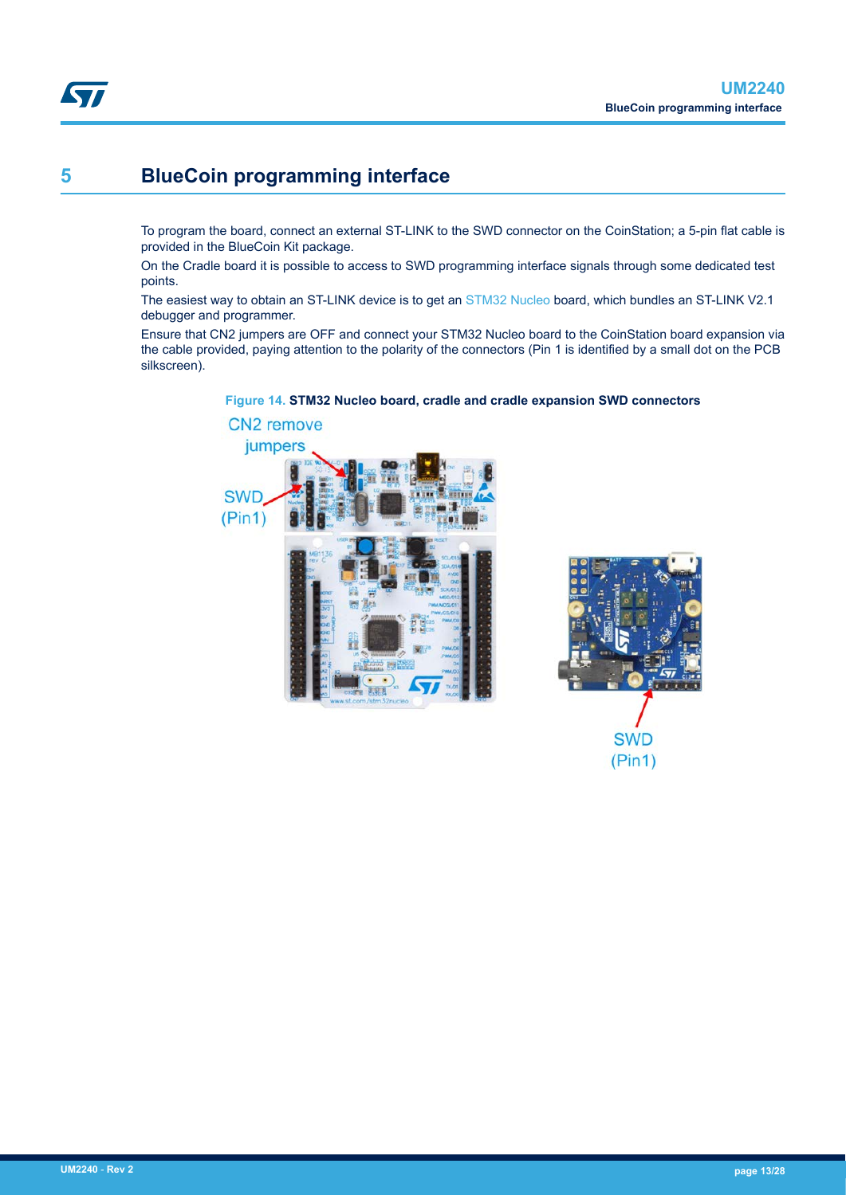## **5 BlueCoin programming interface**

To program the board, connect an external ST-LINK to the SWD connector on the CoinStation; a 5-pin flat cable is provided in the BlueCoin Kit package.

On the Cradle board it is possible to access to SWD programming interface signals through some dedicated test points.

The easiest way to obtain an ST-LINK device is to get an [STM32 Nucleo](https://www.st.com/stm32nucleo) board, which bundles an ST-LINK V2.1 debugger and programmer.

Ensure that CN2 jumpers are OFF and connect your STM32 Nucleo board to the CoinStation board expansion via the cable provided, paying attention to the polarity of the connectors (Pin 1 is identified by a small dot on the PCB silkscreen).

### **Figure 14. STM32 Nucleo board, cradle and cradle expansion SWD connectors**





**STI**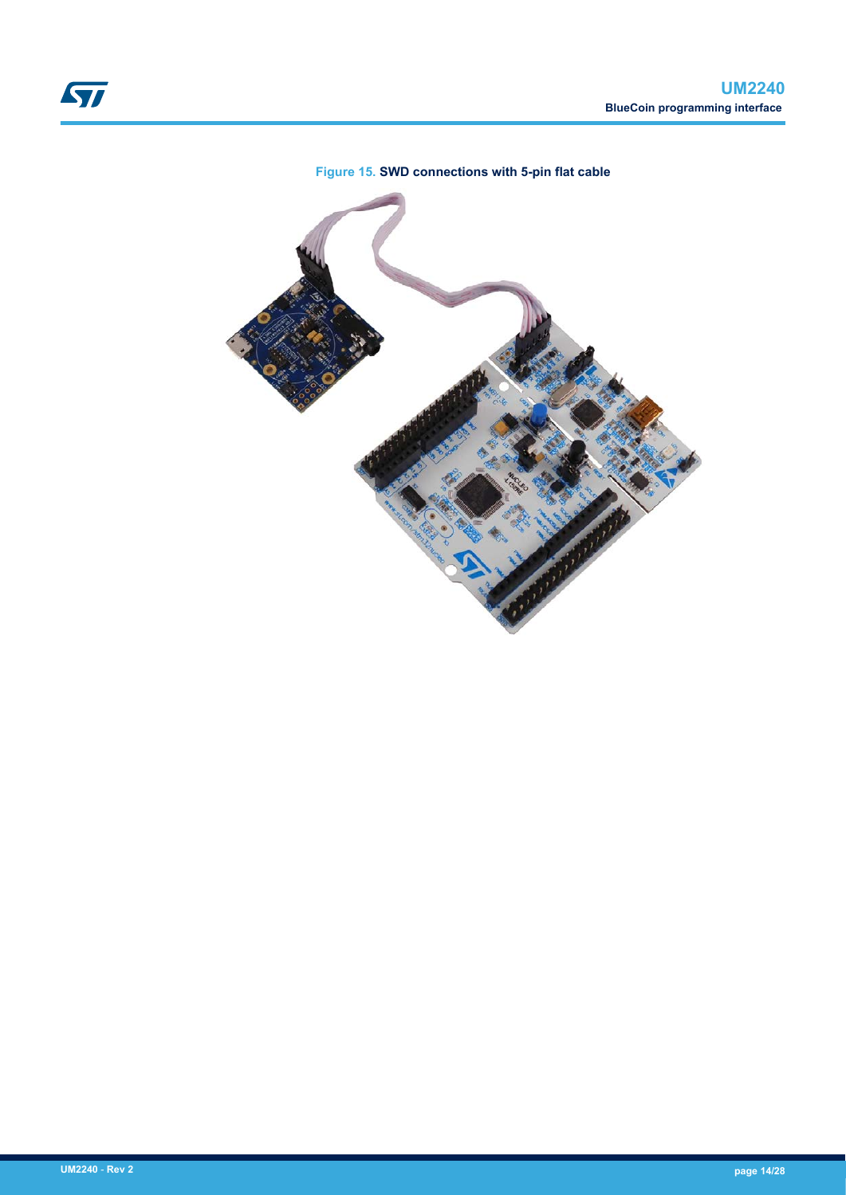

### **Figure 15. SWD connections with 5-pin flat cable**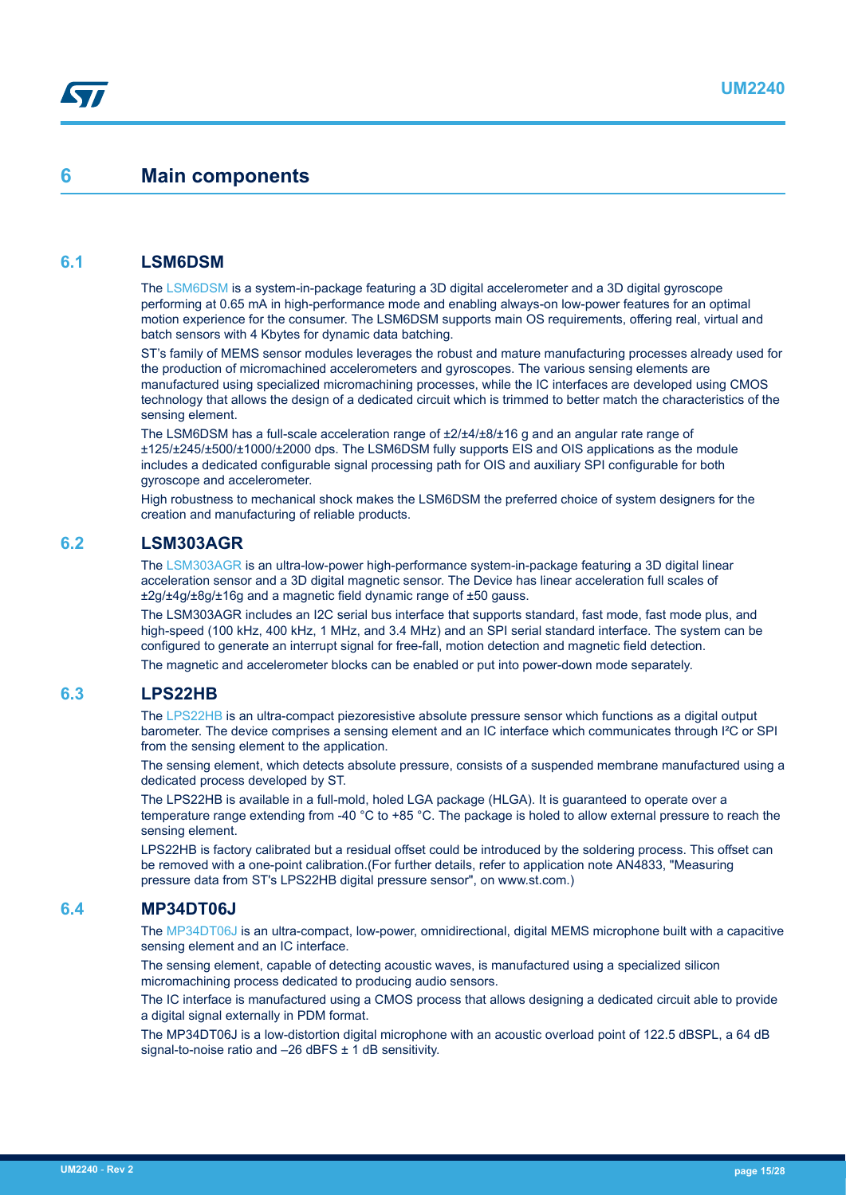## <span id="page-14-0"></span>**6 Main components**

### **6.1 LSM6DSM**

The [LSM6DSM](https://www.st.com/en/product/lsm6dsm) is a system-in-package featuring a 3D digital accelerometer and a 3D digital gyroscope performing at 0.65 mA in high-performance mode and enabling always-on low-power features for an optimal motion experience for the consumer. The LSM6DSM supports main OS requirements, offering real, virtual and batch sensors with 4 Kbytes for dynamic data batching.

ST's family of MEMS sensor modules leverages the robust and mature manufacturing processes already used for the production of micromachined accelerometers and gyroscopes. The various sensing elements are manufactured using specialized micromachining processes, while the IC interfaces are developed using CMOS technology that allows the design of a dedicated circuit which is trimmed to better match the characteristics of the sensing element.

The LSM6DSM has a full-scale acceleration range of  $\pm 2/\pm 4/\pm 8/\pm 16$  g and an angular rate range of ±125/±245/±500/±1000/±2000 dps. The LSM6DSM fully supports EIS and OIS applications as the module includes a dedicated configurable signal processing path for OIS and auxiliary SPI configurable for both gyroscope and accelerometer.

High robustness to mechanical shock makes the LSM6DSM the preferred choice of system designers for the creation and manufacturing of reliable products.

### **6.2 LSM303AGR**

The [LSM303AGR](https://www.st.com/en/product/lsm303agr) is an ultra-low-power high-performance system-in-package featuring a 3D digital linear acceleration sensor and a 3D digital magnetic sensor. The Device has linear acceleration full scales of ±2g/±4g/±8g/±16g and a magnetic field dynamic range of ±50 gauss.

The LSM303AGR includes an I2C serial bus interface that supports standard, fast mode, fast mode plus, and high-speed (100 kHz, 400 kHz, 1 MHz, and 3.4 MHz) and an SPI serial standard interface. The system can be configured to generate an interrupt signal for free-fall, motion detection and magnetic field detection.

The magnetic and accelerometer blocks can be enabled or put into power-down mode separately.

## **6.3 LPS22HB**

The [LPS22HB](https://www.st.com/en/product/lps22hb) is an ultra-compact piezoresistive absolute pressure sensor which functions as a digital output barometer. The device comprises a sensing element and an IC interface which communicates through I²C or SPI from the sensing element to the application.

The sensing element, which detects absolute pressure, consists of a suspended membrane manufactured using a dedicated process developed by ST.

The LPS22HB is available in a full-mold, holed LGA package (HLGA). It is guaranteed to operate over a temperature range extending from -40 °C to +85 °C. The package is holed to allow external pressure to reach the sensing element.

LPS22HB is factory calibrated but a residual offset could be introduced by the soldering process. This offset can be removed with a one-point calibration.(For further details, refer to application note AN4833, "Measuring pressure data from ST's LPS22HB digital pressure sensor", on www.st.com.)

## **6.4 MP34DT06J**

The [MP34DT06J](https://www.st.com/en/product/mp34dt06j) is an ultra-compact, low-power, omnidirectional, digital MEMS microphone built with a capacitive sensing element and an IC interface.

The sensing element, capable of detecting acoustic waves, is manufactured using a specialized silicon micromachining process dedicated to producing audio sensors.

The IC interface is manufactured using a CMOS process that allows designing a dedicated circuit able to provide a digital signal externally in PDM format.

The MP34DT06J is a low-distortion digital microphone with an acoustic overload point of 122.5 dBSPL, a 64 dB signal-to-noise ratio and  $-26$  dBFS  $\pm$  1 dB sensitivity.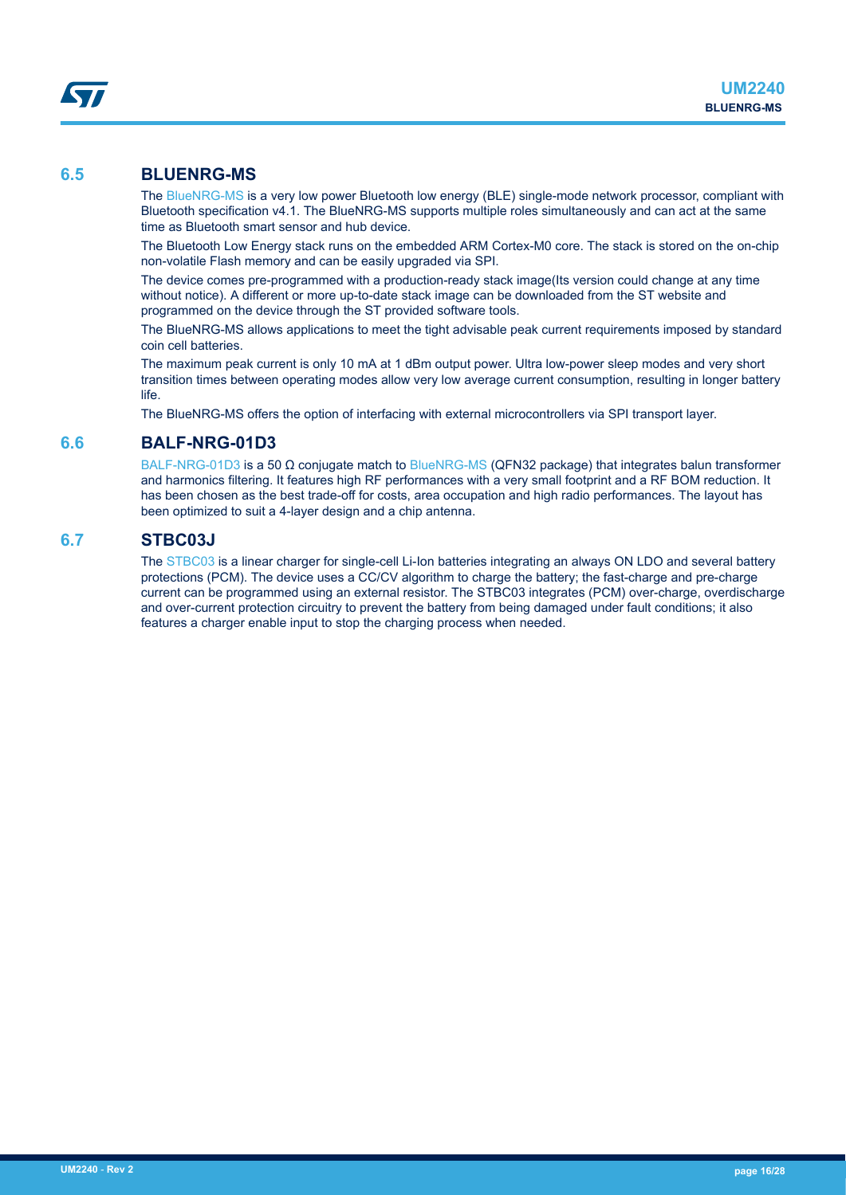## **6.5 BLUENRG-MS**

The [BlueNRG-MS](http://www.st.com/en/product/bluenrg-ms) is a very low power Bluetooth low energy (BLE) single-mode network processor, compliant with Bluetooth specification v4.1. The BlueNRG-MS supports multiple roles simultaneously and can act at the same time as Bluetooth smart sensor and hub device.

The Bluetooth Low Energy stack runs on the embedded ARM Cortex-M0 core. The stack is stored on the on-chip non-volatile Flash memory and can be easily upgraded via SPI.

The device comes pre-programmed with a production-ready stack image(Its version could change at any time without notice). A different or more up-to-date stack image can be downloaded from the ST website and programmed on the device through the ST provided software tools.

The BlueNRG-MS allows applications to meet the tight advisable peak current requirements imposed by standard coin cell batteries.

The maximum peak current is only 10 mA at 1 dBm output power. Ultra low-power sleep modes and very short transition times between operating modes allow very low average current consumption, resulting in longer battery life.

The BlueNRG-MS offers the option of interfacing with external microcontrollers via SPI transport layer.

## **6.6 BALF-NRG-01D3**

[BALF-NRG-01D3](https://www.st.com/en/product/BALF-NRG-01D3) is a 50 Ω conjugate match to [BlueNRG-MS](https://www.st.com/en/product/bluenrg-ms) (QFN32 package) that integrates balun transformer and harmonics filtering. It features high RF performances with a very small footprint and a RF BOM reduction. It has been chosen as the best trade-off for costs, area occupation and high radio performances. The layout has been optimized to suit a 4-layer design and a chip antenna.

### **6.7 STBC03J**

The [STBC03](https://www.st.com/en/product/STBC03) is a linear charger for single-cell Li-Ion batteries integrating an always ON LDO and several battery protections (PCM). The device uses a CC/CV algorithm to charge the battery; the fast-charge and pre-charge current can be programmed using an external resistor. The STBC03 integrates (PCM) over-charge, overdischarge and over-current protection circuitry to prevent the battery from being damaged under fault conditions; it also features a charger enable input to stop the charging process when needed.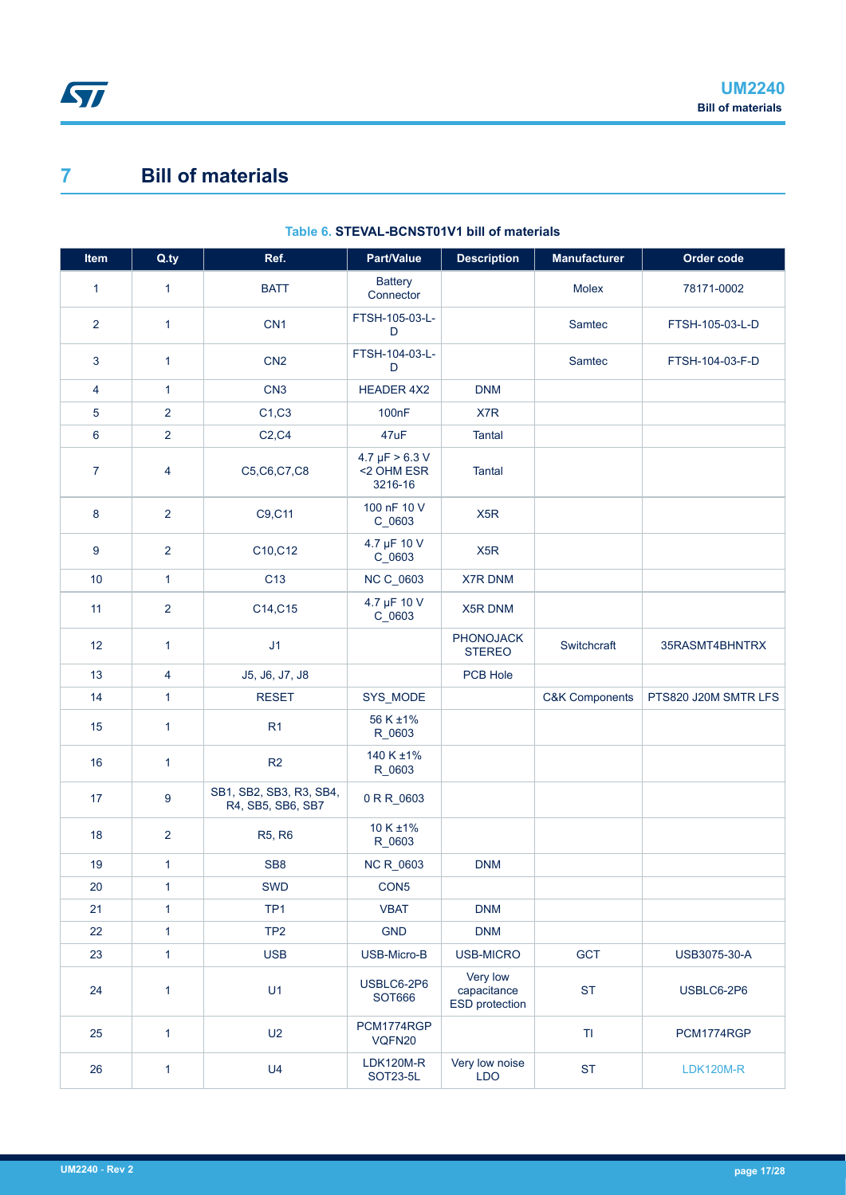# <span id="page-16-0"></span>**7 Bill of materials**

| Item           | Q.ty                    | Ref.                                         | Part/Value                                   | <b>Description</b>                        | <b>Manufacturer</b>       | Order code           |
|----------------|-------------------------|----------------------------------------------|----------------------------------------------|-------------------------------------------|---------------------------|----------------------|
| $\mathbf{1}$   | $\mathbf{1}$            | <b>BATT</b>                                  | <b>Battery</b><br>Connector                  |                                           | Molex                     | 78171-0002           |
| $\overline{2}$ | $\mathbf{1}$            | CN <sub>1</sub>                              | FTSH-105-03-L-<br>D                          |                                           | Samtec                    | FTSH-105-03-L-D      |
| 3              | $\mathbf{1}$            | CN <sub>2</sub>                              | FTSH-104-03-L-<br>D                          |                                           | Samtec                    | FTSH-104-03-F-D      |
| 4              | 1                       | CN <sub>3</sub>                              | <b>HEADER 4X2</b>                            | <b>DNM</b>                                |                           |                      |
| $\sqrt{5}$     | $\overline{2}$          | C1, C3                                       | 100 <sub>n</sub> F                           | X7R                                       |                           |                      |
| $\bf 6$        | $\overline{2}$          | C2, C4                                       | 47uF                                         | <b>Tantal</b>                             |                           |                      |
| $\overline{7}$ | $\overline{4}$          | C5, C6, C7, C8                               | $4.7 \mu F > 6.3 V$<br><2 OHM ESR<br>3216-16 | <b>Tantal</b>                             |                           |                      |
| 8              | $\overline{2}$          | C9,C11                                       | 100 nF 10 V<br>C_0603                        | X <sub>5</sub> R                          |                           |                      |
| 9              | $\overline{2}$          | C10, C12                                     | 4.7 µF 10 V<br>$C_0$ 0603                    | X <sub>5</sub> R                          |                           |                      |
| 10             | $\mathbf{1}$            | C <sub>13</sub>                              | NC C_0603                                    | <b>X7R DNM</b>                            |                           |                      |
| 11             | $\overline{2}$          | C14, C15                                     | 4.7 µF 10 V<br>$C_0$ 0603                    | X5R DNM                                   |                           |                      |
| 12             | $\mathbf{1}$            | J1                                           |                                              | <b>PHONOJACK</b><br><b>STEREO</b>         | Switchcraft               | 35RASMT4BHNTRX       |
| 13             | $\overline{\mathbf{4}}$ | J5, J6, J7, J8                               |                                              | PCB Hole                                  |                           |                      |
| 14             | $\mathbf{1}$            | <b>RESET</b>                                 | SYS_MODE                                     |                                           | <b>C&amp;K Components</b> | PTS820 J20M SMTR LFS |
| 15             | 1                       | R <sub>1</sub>                               | 56 K ±1%<br>R_0603                           |                                           |                           |                      |
| 16             | $\mathbf{1}$            | R <sub>2</sub>                               | 140 K ±1%<br>R_0603                          |                                           |                           |                      |
| 17             | $\boldsymbol{9}$        | SB1, SB2, SB3, R3, SB4,<br>R4, SB5, SB6, SB7 | 0 R R_0603                                   |                                           |                           |                      |
| 18             | $\overline{2}$          | R5, R6                                       | 10 K ±1%<br>R_0603                           |                                           |                           |                      |
| 19             | $\mathbf{1}$            | SB <sub>8</sub>                              | NC R_0603                                    | <b>DNM</b>                                |                           |                      |
| 20             | 1                       | <b>SWD</b>                                   | CON <sub>5</sub>                             |                                           |                           |                      |
| 21             | $\mathbf{1}$            | TP <sub>1</sub>                              | <b>VBAT</b>                                  | <b>DNM</b>                                |                           |                      |
| 22             | $\mathbf{1}$            | TP <sub>2</sub>                              | <b>GND</b>                                   | <b>DNM</b>                                |                           |                      |
| 23             | $\mathbf{1}$            | <b>USB</b>                                   | USB-Micro-B                                  | USB-MICRO                                 | GCT                       | USB3075-30-A         |
| 24             | 1                       | U1                                           | USBLC6-2P6<br>SOT666                         | Very low<br>capacitance<br>ESD protection | <b>ST</b>                 | USBLC6-2P6           |
| 25             | $\mathbf{1}$            | U2                                           | PCM1774RGP<br>VQFN20                         |                                           | $\mathsf T\mathsf I$      | PCM1774RGP           |
| 26             | $\mathbf{1}$            | U <sub>4</sub>                               | <b>LDK120M-R</b><br>SOT23-5L                 | Very low noise<br><b>LDO</b>              | <b>ST</b>                 | <b>LDK120M-R</b>     |

#### **Table 6. STEVAL-BCNST01V1 bill of materials**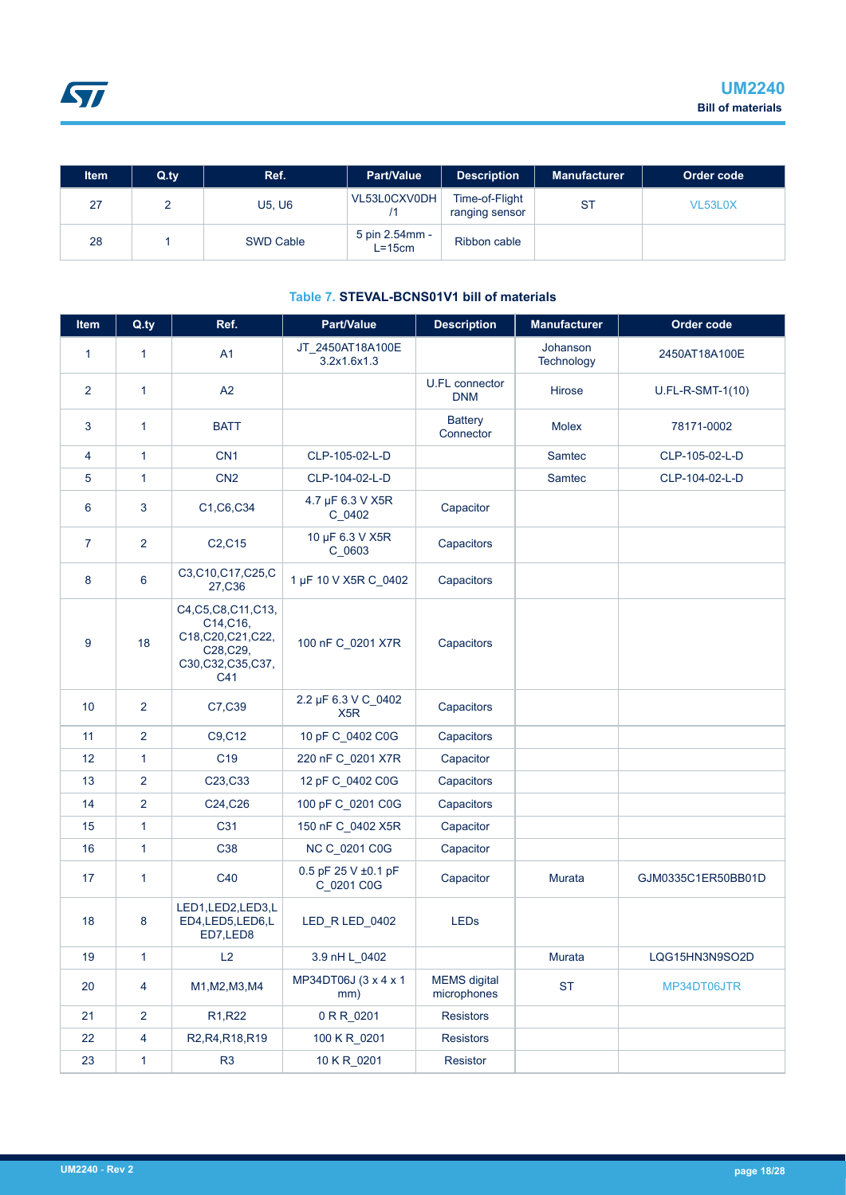| ltem | $Q_{\text{.}ty}$ | Ref.             | <b>Part/Value</b>        | <b>Description</b>               | <b>Manufacturer</b> | Order code |
|------|------------------|------------------|--------------------------|----------------------------------|---------------------|------------|
| 27   |                  | U5, U6           | VL53L0CXV0DH             | Time-of-Flight<br>ranging sensor | <b>ST</b>           | VL53L0X    |
| 28   |                  | <b>SWD Cable</b> | 5 pin 2.54mm -<br>L=15cm | Ribbon cable                     |                     |            |

#### **Table 7. STEVAL-BCNS01V1 bill of materials**

| <b>Item</b>     | Q.ty           | Ref.                                                                                           | Part/Value                              | <b>Description</b>                  | <b>Manufacturer</b>    | Order code         |
|-----------------|----------------|------------------------------------------------------------------------------------------------|-----------------------------------------|-------------------------------------|------------------------|--------------------|
| $\mathbf{1}$    | $\mathbf{1}$   | A1                                                                                             | JT_2450AT18A100E<br>3.2x1.6x1.3         |                                     | Johanson<br>Technology | 2450AT18A100E      |
| $\overline{2}$  | $\mathbf{1}$   | A2                                                                                             |                                         | <b>U.FL connector</b><br><b>DNM</b> | Hirose                 | U.FL-R-SMT-1(10)   |
| 3               | $\mathbf{1}$   | <b>BATT</b>                                                                                    |                                         | <b>Battery</b><br>Connector         | <b>Molex</b>           | 78171-0002         |
| 4               | 1              | CN <sub>1</sub>                                                                                | CLP-105-02-L-D                          |                                     | Samtec                 | CLP-105-02-L-D     |
| 5               | $\mathbf{1}$   | CN <sub>2</sub>                                                                                | CLP-104-02-L-D                          |                                     | Samtec                 | CLP-104-02-L-D     |
| 6               | 3              | C1, C6, C34                                                                                    | 4.7 µF 6.3 V X5R<br>C_0402              | Capacitor                           |                        |                    |
| $\overline{7}$  | $\overline{2}$ | C <sub>2</sub> ,C <sub>15</sub>                                                                | 10 µF 6.3 V X5R<br>C_0603               | Capacitors                          |                        |                    |
| 8               | 6              | C3,C10,C17,C25,C<br>27,C36                                                                     | 1 µF 10 V X5R C_0402                    | Capacitors                          |                        |                    |
| 9               | 18             | C4, C5, C8, C11, C13,<br>C14, C16,<br>C18,C20,C21,C22,<br>C28, C29,<br>C30,C32,C35,C37,<br>C41 | 100 nF C_0201 X7R                       | Capacitors                          |                        |                    |
| 10 <sup>°</sup> | $\overline{2}$ | C7,C39                                                                                         | 2.2 µF 6.3 V C_0402<br>X <sub>5</sub> R | Capacitors                          |                        |                    |
| 11              | 2              | C9, C12                                                                                        | 10 pF C_0402 C0G                        | Capacitors                          |                        |                    |
| 12 <sup>2</sup> | $\mathbf{1}$   | C <sub>19</sub>                                                                                | 220 nF C_0201 X7R                       | Capacitor                           |                        |                    |
| 13              | $\overline{2}$ | C23, C33                                                                                       | 12 pF C_0402 C0G                        | Capacitors                          |                        |                    |
| 14              | 2              | C24, C26                                                                                       | 100 pF C_0201 C0G                       | Capacitors                          |                        |                    |
| 15              | $\mathbf{1}$   | C31                                                                                            | 150 nF C_0402 X5R                       | Capacitor                           |                        |                    |
| 16              | 1              | C38                                                                                            | NC C_0201 C0G                           | Capacitor                           |                        |                    |
| 17              | $\mathbf{1}$   | C40                                                                                            | 0.5 pF 25 V ±0.1 pF<br>C_0201 C0G       | Capacitor                           | Murata                 | GJM0335C1ER50BB01D |
| 18              | 8              | LED1,LED2,LED3,L<br>ED4,LED5,LED6,L<br>ED7,LED8                                                | LED R LED 0402                          | <b>LEDs</b>                         |                        |                    |
| 19              | 1              | L2                                                                                             | 3.9 nH L_0402                           |                                     | Murata                 | LQG15HN3N9SO2D     |
| 20              | 4              | M1, M2, M3, M4                                                                                 | MP34DT06J (3 x 4 x 1<br>mm)             | <b>MEMS</b> digital<br>microphones  | <b>ST</b>              | MP34DT06JTR        |
| 21              | $\overline{2}$ | R <sub>1</sub> ,R <sub>22</sub>                                                                | 0 R R_0201                              | <b>Resistors</b>                    |                        |                    |
| 22              | 4              | R2, R4, R18, R19                                                                               | 100 K R_0201                            | <b>Resistors</b>                    |                        |                    |
| 23              | 1              | R <sub>3</sub>                                                                                 | 10 K R 0201                             | Resistor                            |                        |                    |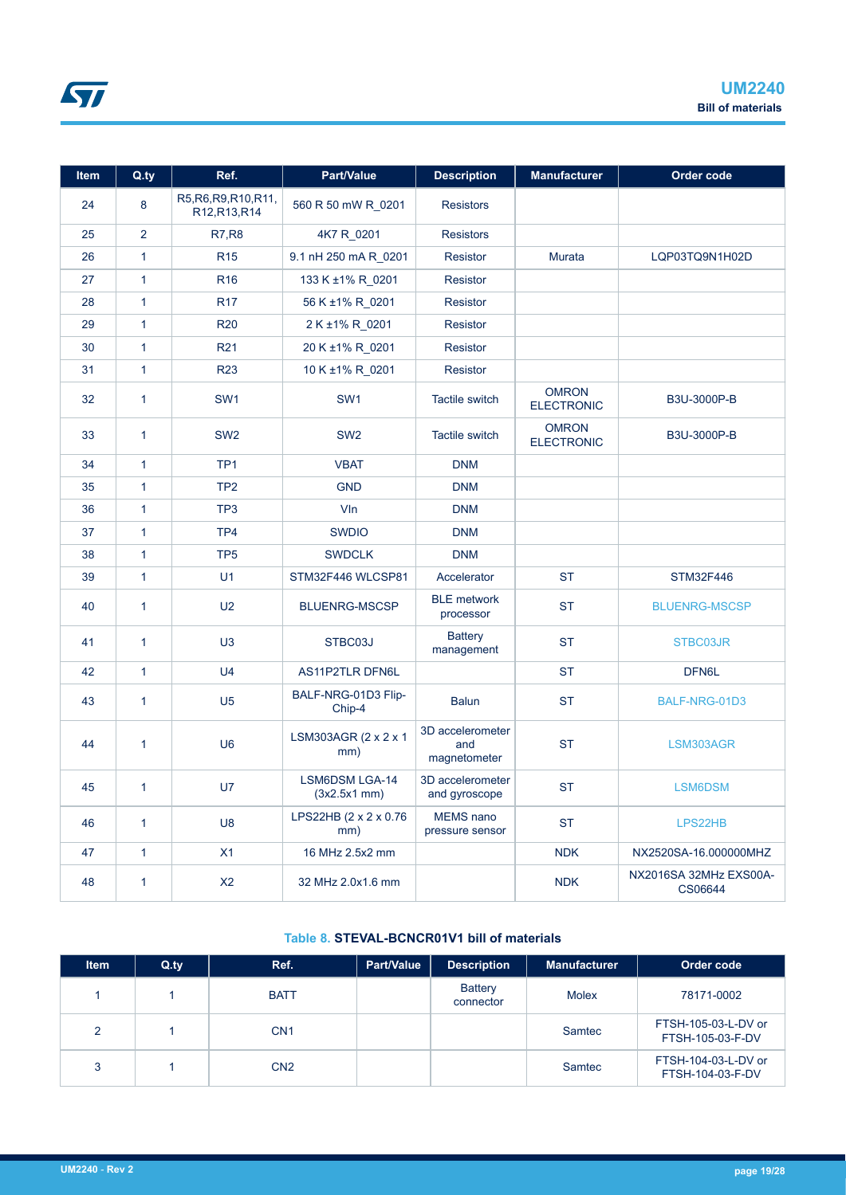| <b>Item</b> | Q.ty           | Ref.                                   | Part/Value<br><b>Description</b>       |                                         | <b>Manufacturer</b>               | Order code                        |
|-------------|----------------|----------------------------------------|----------------------------------------|-----------------------------------------|-----------------------------------|-----------------------------------|
| 24          | 8              | R5, R6, R9, R10, R11,<br>R12, R13, R14 | 560 R 50 mW R_0201<br><b>Resistors</b> |                                         |                                   |                                   |
| 25          | $\overline{2}$ | <b>R7,R8</b>                           | 4K7 R_0201                             | <b>Resistors</b>                        |                                   |                                   |
| 26          | $\mathbf{1}$   | <b>R15</b>                             | 9.1 nH 250 mA R 0201                   | <b>Resistor</b>                         | Murata                            | LQP03TQ9N1H02D                    |
| 27          | $\mathbf{1}$   | R <sub>16</sub>                        | 133 K ±1% R_0201                       | <b>Resistor</b>                         |                                   |                                   |
| 28          | $\mathbf{1}$   | <b>R17</b>                             | 56 K ±1% R_0201                        | <b>Resistor</b>                         |                                   |                                   |
| 29          | $\mathbf{1}$   | <b>R20</b>                             | 2 K ±1% R 0201                         | <b>Resistor</b>                         |                                   |                                   |
| 30          | $\mathbf{1}$   | R <sub>21</sub>                        | 20 K ±1% R_0201                        | <b>Resistor</b>                         |                                   |                                   |
| 31          | $\mathbf{1}$   | <b>R23</b>                             | 10 K ±1% R 0201                        | <b>Resistor</b>                         |                                   |                                   |
| 32          | $\mathbf{1}$   | SW <sub>1</sub>                        | SW <sub>1</sub>                        | <b>Tactile switch</b>                   | <b>OMRON</b><br><b>ELECTRONIC</b> | B3U-3000P-B                       |
| 33          | $\mathbf{1}$   | SW <sub>2</sub>                        | SW <sub>2</sub>                        | <b>Tactile switch</b>                   | <b>OMRON</b><br><b>ELECTRONIC</b> | B3U-3000P-B                       |
| 34          | $\mathbf{1}$   | TP <sub>1</sub>                        | <b>VBAT</b>                            | <b>DNM</b>                              |                                   |                                   |
| 35          | $\mathbf{1}$   | TP <sub>2</sub>                        | <b>GND</b>                             | <b>DNM</b>                              |                                   |                                   |
| 36          | $\mathbf{1}$   | TP <sub>3</sub>                        | VIn                                    | <b>DNM</b>                              |                                   |                                   |
| 37          | $\mathbf{1}$   | TP <sub>4</sub>                        | <b>SWDIO</b>                           | <b>DNM</b>                              |                                   |                                   |
| 38          | $\mathbf{1}$   | TP <sub>5</sub>                        | <b>SWDCLK</b>                          | <b>DNM</b>                              |                                   |                                   |
| 39          | $\mathbf{1}$   | U1                                     | STM32F446 WLCSP81                      | Accelerator                             | <b>ST</b>                         | STM32F446                         |
| 40          | $\mathbf{1}$   | U <sub>2</sub>                         | <b>BLUENRG-MSCSP</b>                   | <b>BLE</b> metwork<br>processor         | <b>ST</b>                         | <b>BLUENRG-MSCSP</b>              |
| 41          | $\overline{1}$ | U3                                     | STBC03J                                | <b>Battery</b><br>management            | <b>ST</b>                         | STBC03JR                          |
| 42          | $\mathbf{1}$   | U <sub>4</sub>                         | AS11P2TLR DFN6L                        |                                         | <b>ST</b>                         | DFN6L                             |
| 43          | $\mathbf{1}$   | U <sub>5</sub>                         | BALF-NRG-01D3 Flip-<br>Chip-4          | <b>Balun</b>                            | <b>ST</b>                         | BALF-NRG-01D3                     |
| 44          | $\mathbf{1}$   | U <sub>6</sub>                         | LSM303AGR (2 x 2 x 1<br>mm)            | 3D accelerometer<br>and<br>magnetometer | <b>ST</b>                         | LSM303AGR                         |
| 45          | $\mathbf{1}$   | U7                                     | LSM6DSM LGA-14<br>$(3x2.5x1$ mm $)$    | 3D accelerometer<br>and gyroscope       | <b>ST</b>                         | LSM6DSM                           |
| 46          | $\mathbf{1}$   | U <sub>8</sub>                         | LPS22HB (2 x 2 x 0.76<br>mm)           | MEMS nano<br>pressure sensor            | <b>ST</b>                         | LPS22HB                           |
| 47          | $\mathbf{1}$   | X1                                     | 16 MHz 2.5x2 mm                        |                                         | <b>NDK</b>                        | NX2520SA-16.000000MHZ             |
| 48          | 1              | X <sub>2</sub>                         | 32 MHz 2.0x1.6 mm                      |                                         | <b>NDK</b>                        | NX2016SA 32MHz EXS00A-<br>CS06644 |

### **Table 8. STEVAL-BCNCR01V1 bill of materials**

| <b>Item</b>   | $Q_{\text{.}}$ ty | Ref.            | <b>Part/Value</b> | <b>Description</b>          | <b>Manufacturer</b> | Order code                              |
|---------------|-------------------|-----------------|-------------------|-----------------------------|---------------------|-----------------------------------------|
|               |                   | <b>BATT</b>     |                   | <b>Battery</b><br>connector | <b>Molex</b>        | 78171-0002                              |
| $\mathcal{P}$ |                   | CN <sub>1</sub> |                   |                             | Samtec              | FTSH-105-03-L-DV or<br>FTSH-105-03-F-DV |
| 3             |                   | CN <sub>2</sub> |                   |                             | Samtec              | FTSH-104-03-L-DV or<br>FTSH-104-03-F-DV |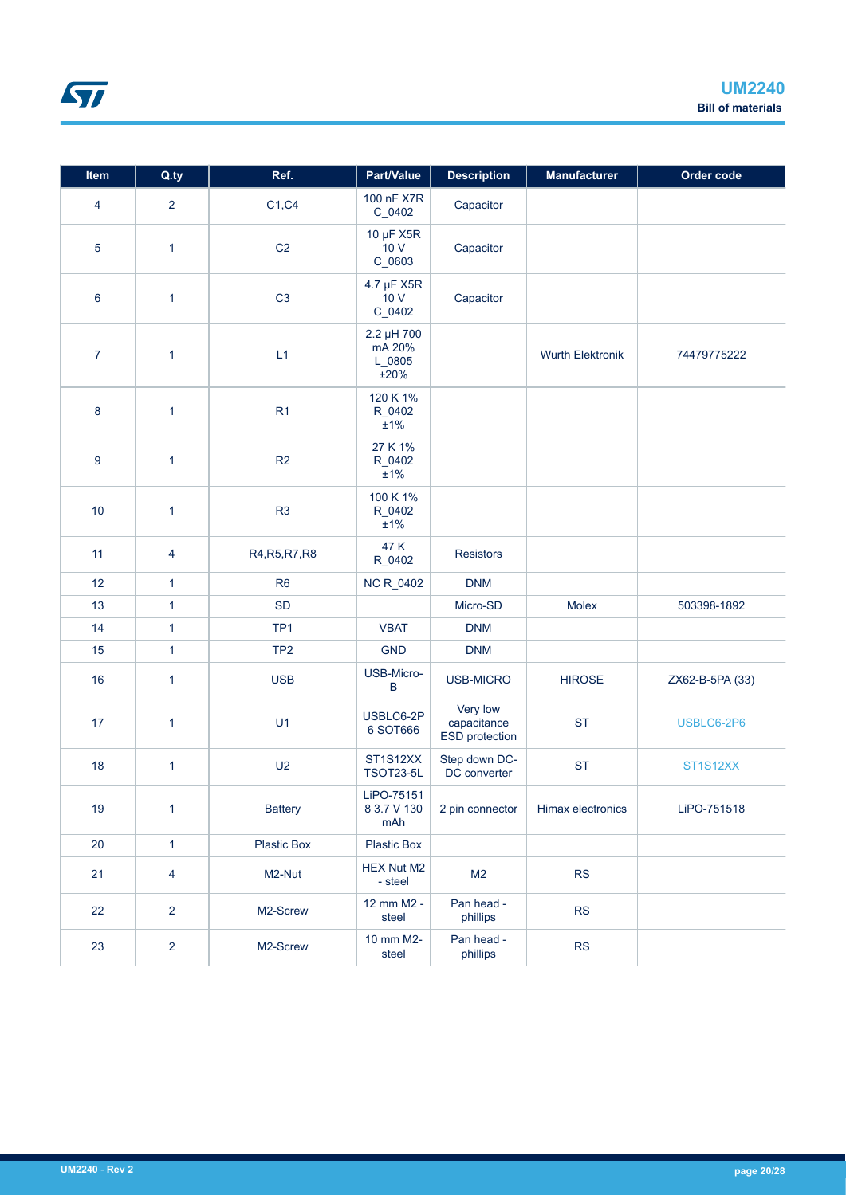| Item           | Q.ty           | Ref.               | Part/Value                             | <b>Description</b>                        | <b>Manufacturer</b>     | Order code      |
|----------------|----------------|--------------------|----------------------------------------|-------------------------------------------|-------------------------|-----------------|
| 4              | $\overline{2}$ | C1, C4             | 100 nF X7R<br>C_0402                   | Capacitor                                 |                         |                 |
| $\sqrt{5}$     | $\mathbf{1}$   | C <sub>2</sub>     | 10 µF X5R<br>10V<br>C_0603             | Capacitor                                 |                         |                 |
| 6              | 1              | C <sub>3</sub>     | 4.7 µF X5R<br>10V<br>C_0402            | Capacitor                                 |                         |                 |
| $\overline{7}$ | $\mathbf{1}$   | L1                 | 2.2 µH 700<br>mA 20%<br>L_0805<br>±20% |                                           | <b>Wurth Elektronik</b> | 74479775222     |
| 8              | $\mathbf{1}$   | R1                 | 120 K 1%<br>R_0402<br>$\pm$ 1%         |                                           |                         |                 |
| 9              | $\mathbf{1}$   | R2                 | 27 K 1%<br>R_0402<br>±1%               |                                           |                         |                 |
| 10             | 1              | R <sub>3</sub>     | 100 K 1%<br>R_0402<br>±1%              |                                           |                         |                 |
| 11             | $\overline{4}$ | R4, R5, R7, R8     | 47 K<br>R_0402                         | <b>Resistors</b>                          |                         |                 |
| 12             | 1              | R <sub>6</sub>     | NC R_0402                              | <b>DNM</b>                                |                         |                 |
| 13             | $\mathbf{1}$   | <b>SD</b>          |                                        | Micro-SD                                  | Molex                   | 503398-1892     |
| 14             | $\mathbf{1}$   | TP <sub>1</sub>    | <b>VBAT</b>                            | <b>DNM</b>                                |                         |                 |
| 15             | 1              | TP <sub>2</sub>    | <b>GND</b>                             | <b>DNM</b>                                |                         |                 |
| 16             | $\mathbf{1}$   | <b>USB</b>         | USB-Micro-<br>$\sf B$                  | USB-MICRO                                 | <b>HIROSE</b>           | ZX62-B-5PA (33) |
| 17             | $\mathbf{1}$   | U1                 | USBLC6-2P<br>6 SOT666                  | Very low<br>capacitance<br>ESD protection | <b>ST</b>               | USBLC6-2P6      |
| 18             | $\mathbf{1}$   | U <sub>2</sub>     | ST1S12XX<br><b>TSOT23-5L</b>           | Step down DC-<br>DC converter             | <b>ST</b>               | ST1S12XX        |
| 19             | $\mathbf{1}$   | <b>Battery</b>     | LiPO-75151<br>8 3.7 V 130<br>mAh       | 2 pin connector                           | Himax electronics       | LiPO-751518     |
| 20             | $\mathbf{1}$   | <b>Plastic Box</b> | <b>Plastic Box</b>                     |                                           |                         |                 |
| 21             | $\overline{4}$ | M2-Nut             | <b>HEX Nut M2</b><br>- steel           | M <sub>2</sub>                            | RS                      |                 |
| 22             | $\overline{2}$ | M2-Screw           | 12 mm M2 -<br>steel                    | Pan head -<br>phillips                    | <b>RS</b>               |                 |
| 23             | $\overline{2}$ | M2-Screw           | 10 mm M2-<br>steel                     | Pan head -<br>phillips                    | RS                      |                 |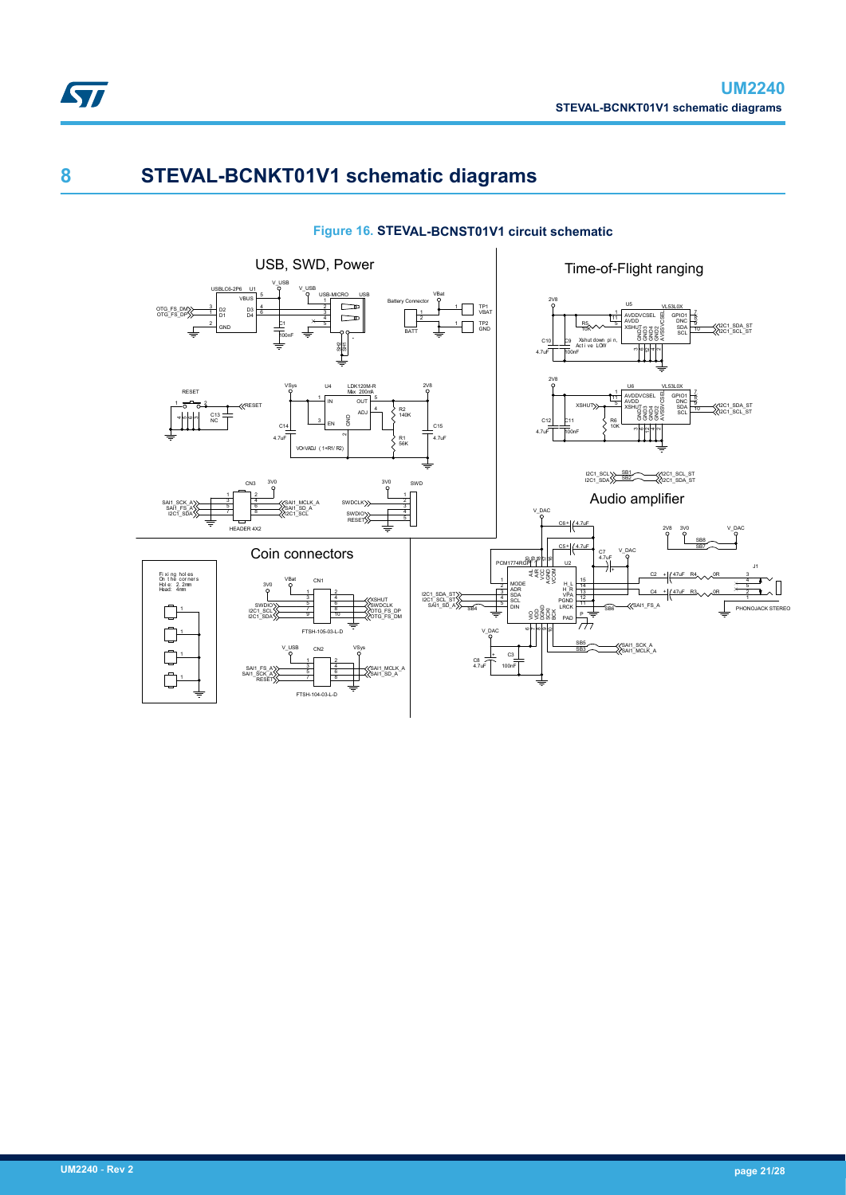

# **8 STEVAL-BCNKT01V1 schematic diagrams**

### **Figure 16. STEVAL-BCNST01V1 circuit schematic**

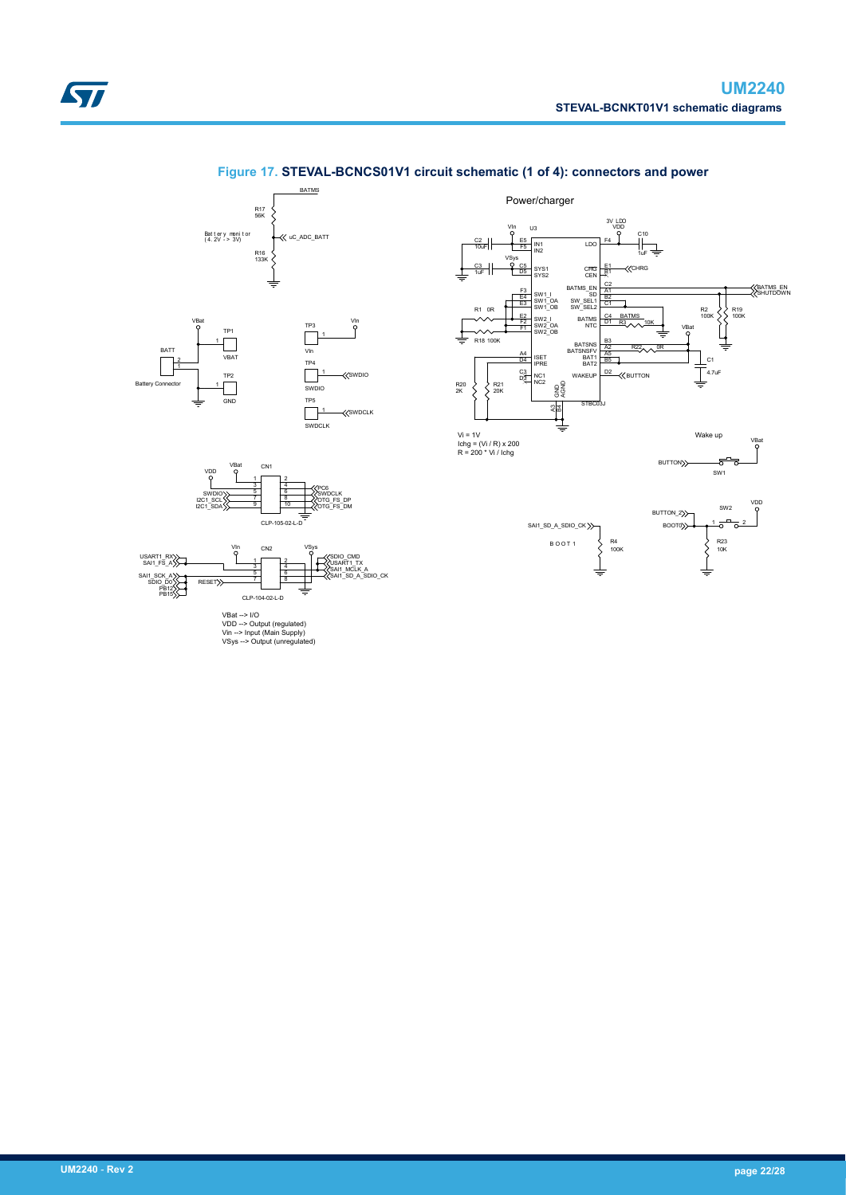

### **Figure 17. STEVAL-BCNCS01V1 circuit schematic (1 of 4): connectors and power**





 $CLP-105$ 

VDD --> Output (regulated) Vin --> Input (Main Supply) VSys --> Output (unregulated)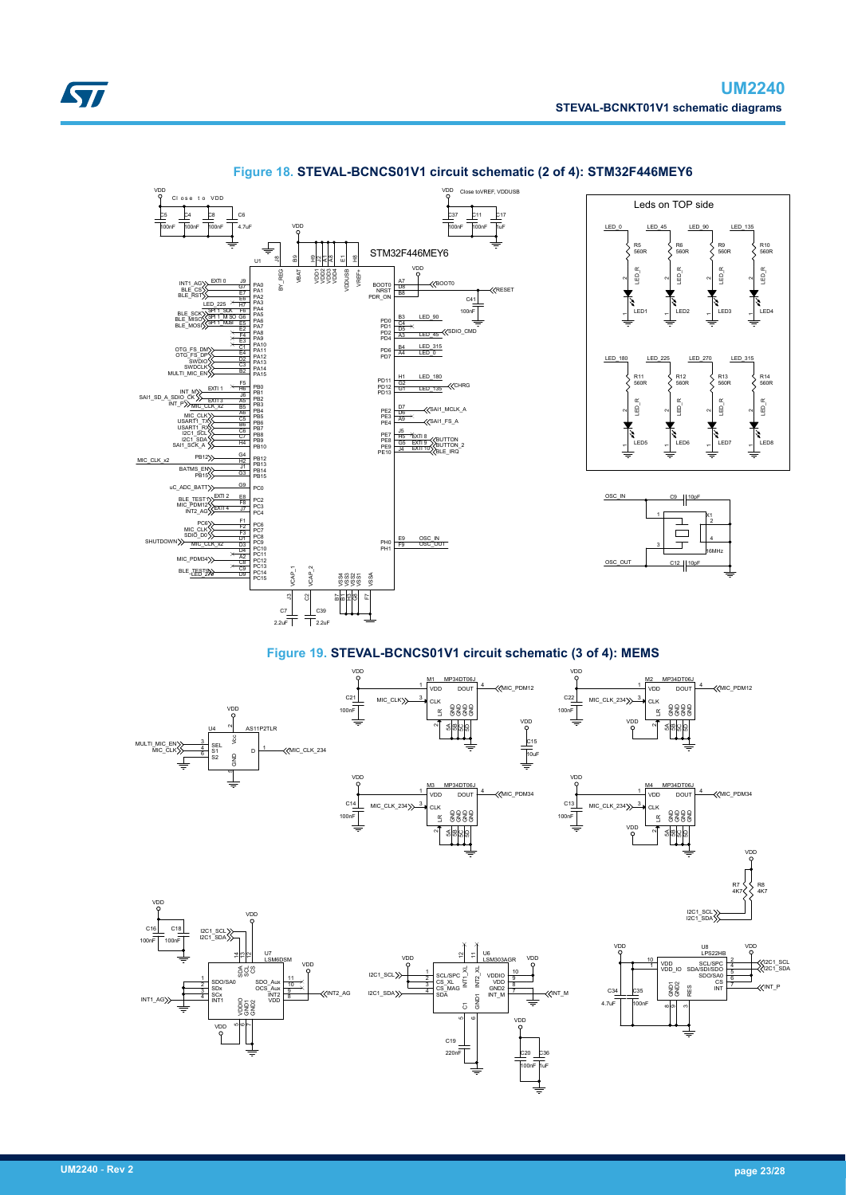<span id="page-22-0"></span>



#### **Figure 18. STEVAL-BCNCS01V1 circuit schematic (2 of 4): STM32F446MEY6**

**Figure 19. STEVAL-BCNCS01V1 circuit schematic (3 of 4): MEMS**

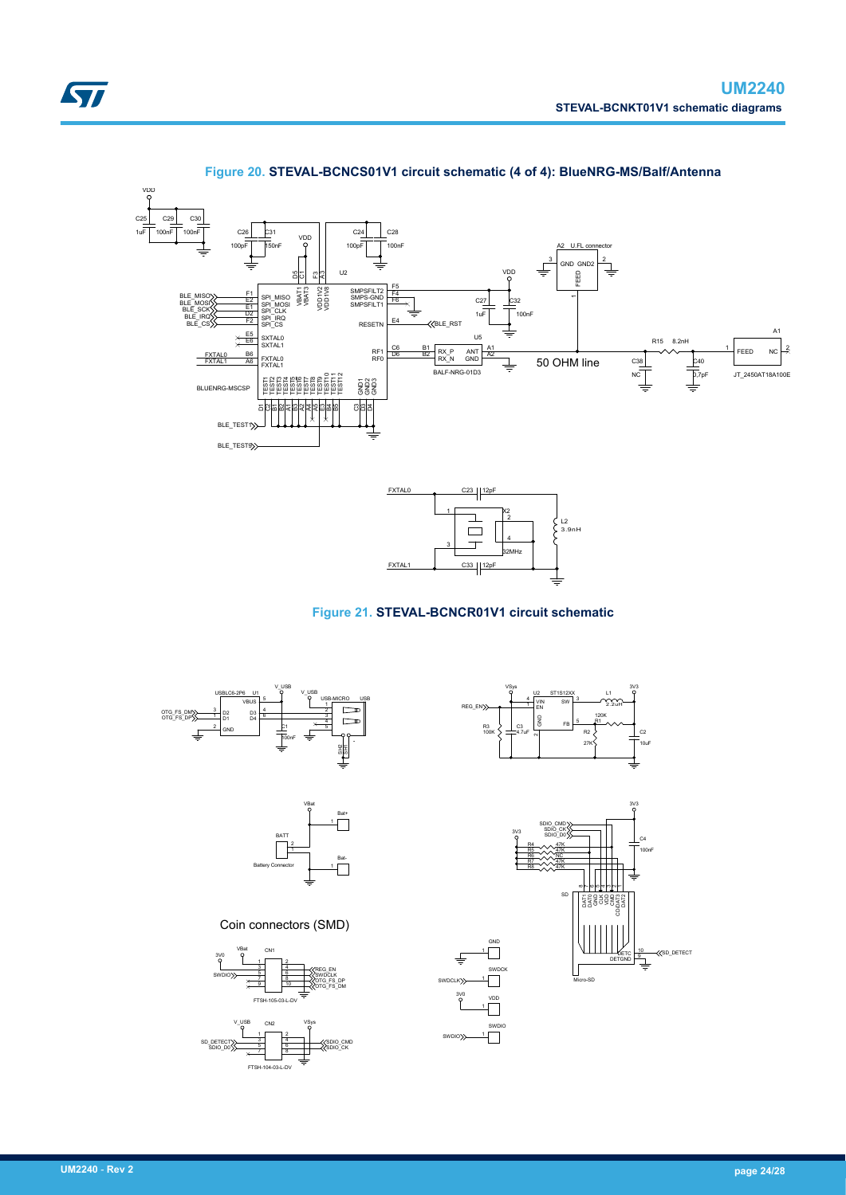



### **Figure 20. STEVAL-BCNCS01V1 circuit schematic (4 of 4): BlueNRG-MS/Balf/Antenna**



### **Figure 21. STEVAL-BCNCR01V1 circuit schematic**

3V0

VDD 1

1

SWDIO 1

 $\Box$ 

SWDIO

SWDCLK





Coin connectors (SMD)







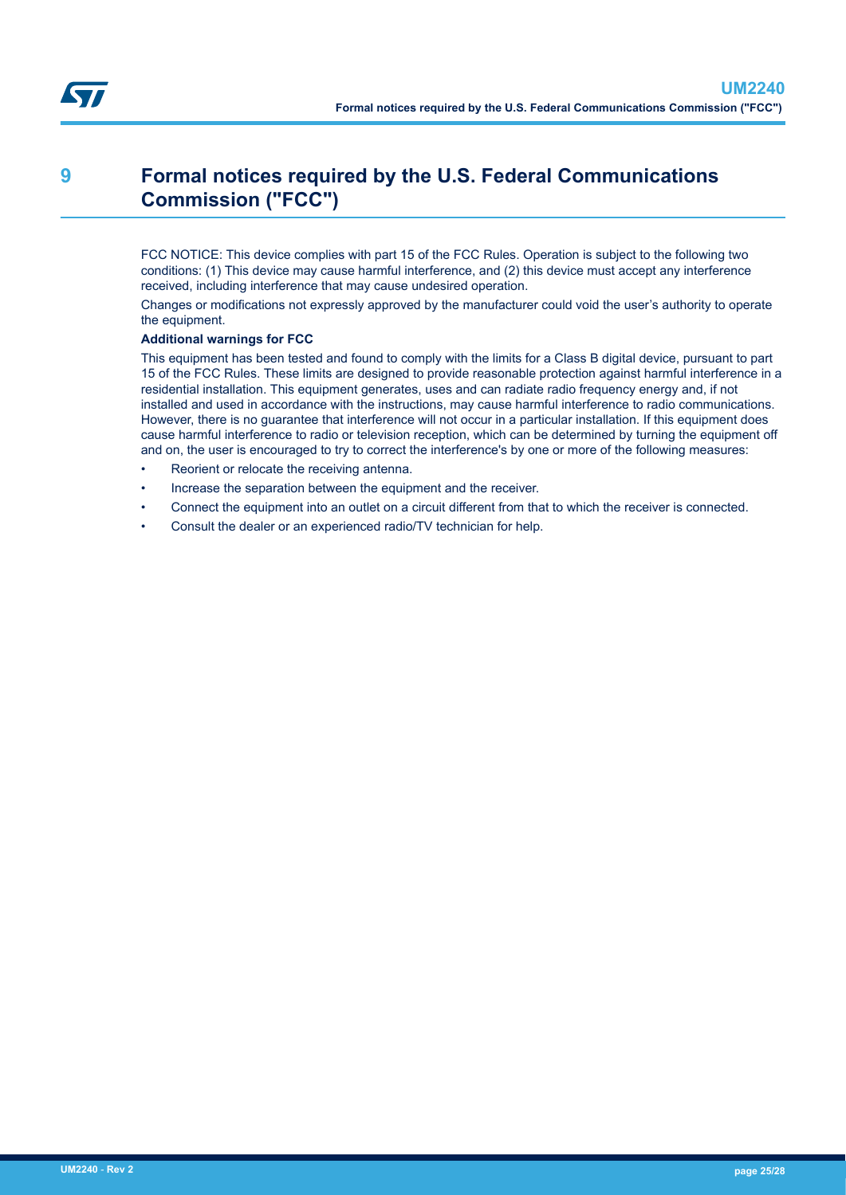# **9 Formal notices required by the U.S. Federal Communications Commission ("FCC")**

FCC NOTICE: This device complies with part 15 of the FCC Rules. Operation is subject to the following two conditions: (1) This device may cause harmful interference, and (2) this device must accept any interference received, including interference that may cause undesired operation.

Changes or modifications not expressly approved by the manufacturer could void the user's authority to operate the equipment.

#### **Additional warnings for FCC**

This equipment has been tested and found to comply with the limits for a Class B digital device, pursuant to part 15 of the FCC Rules. These limits are designed to provide reasonable protection against harmful interference in a residential installation. This equipment generates, uses and can radiate radio frequency energy and, if not installed and used in accordance with the instructions, may cause harmful interference to radio communications. However, there is no guarantee that interference will not occur in a particular installation. If this equipment does cause harmful interference to radio or television reception, which can be determined by turning the equipment off and on, the user is encouraged to try to correct the interference's by one or more of the following measures:

- Reorient or relocate the receiving antenna.
- Increase the separation between the equipment and the receiver.
- Connect the equipment into an outlet on a circuit different from that to which the receiver is connected.
- Consult the dealer or an experienced radio/TV technician for help.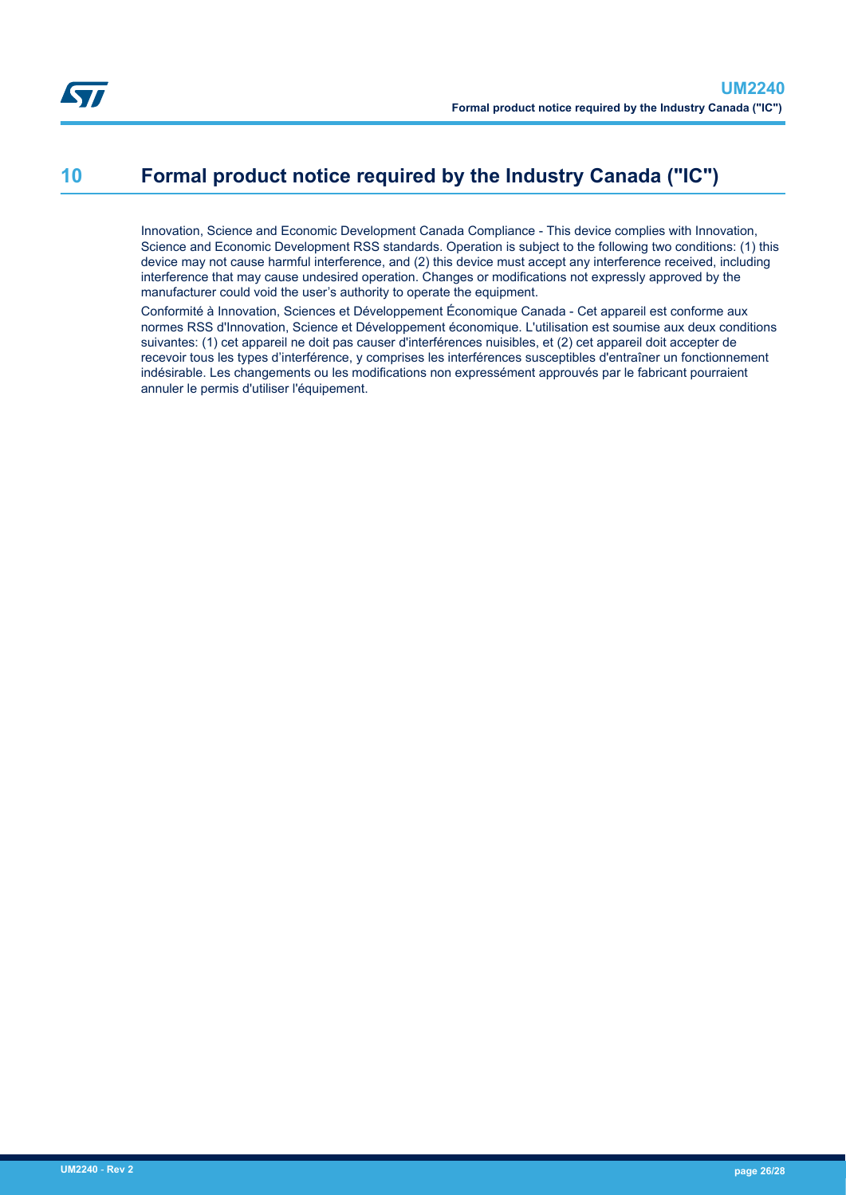# **10 Formal product notice required by the Industry Canada ("IC")**

Innovation, Science and Economic Development Canada Compliance - This device complies with Innovation, Science and Economic Development RSS standards. Operation is subject to the following two conditions: (1) this device may not cause harmful interference, and (2) this device must accept any interference received, including interference that may cause undesired operation. Changes or modifications not expressly approved by the manufacturer could void the user's authority to operate the equipment.

Conformité à Innovation, Sciences et Développement Économique Canada - Cet appareil est conforme aux normes RSS d'Innovation, Science et Développement économique. L'utilisation est soumise aux deux conditions suivantes: (1) cet appareil ne doit pas causer d'interférences nuisibles, et (2) cet appareil doit accepter de recevoir tous les types d'interférence, y comprises les interférences susceptibles d'entraîner un fonctionnement indésirable. Les changements ou les modifications non expressément approuvés par le fabricant pourraient annuler le permis d'utiliser l'équipement.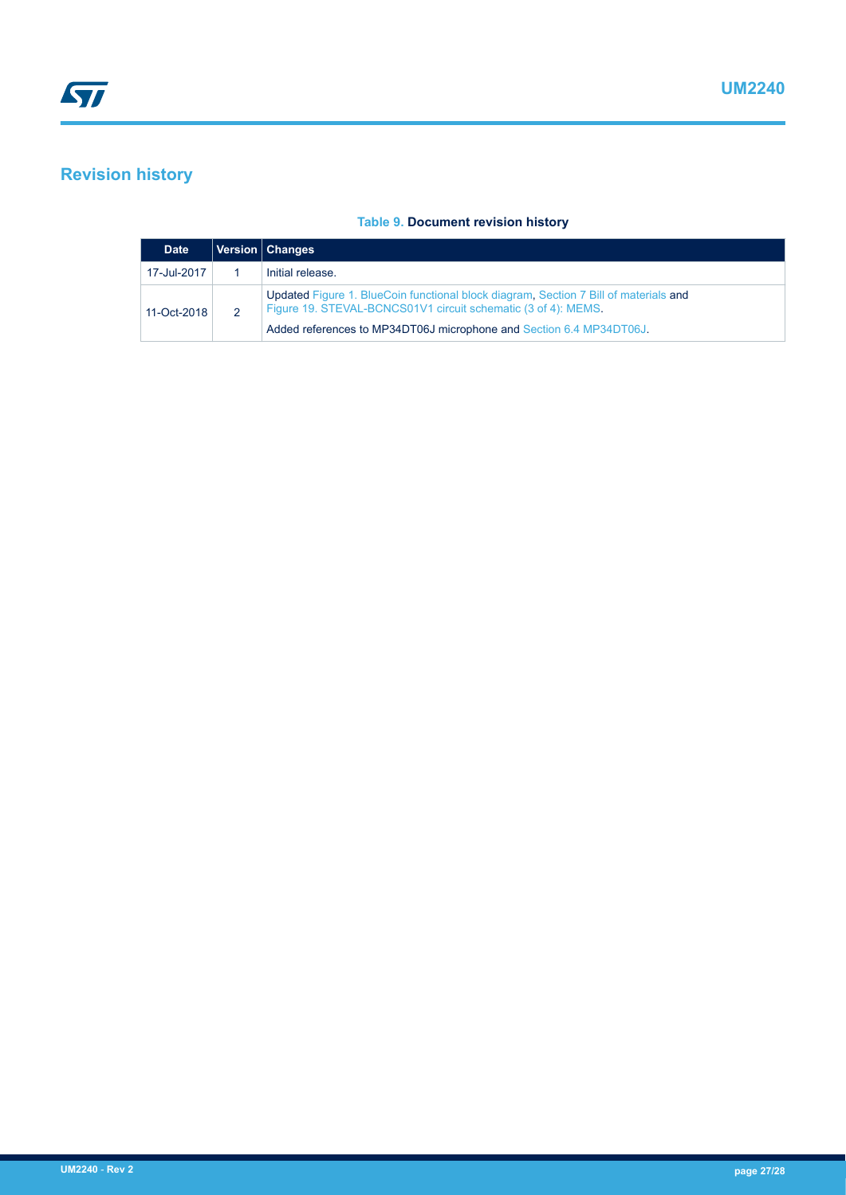## **Revision history**

### **Table 9. Document revision history**

| <b>Date</b> | Version   Changes                                                                                                                                     |
|-------------|-------------------------------------------------------------------------------------------------------------------------------------------------------|
| 17-Jul-2017 | Initial release.                                                                                                                                      |
| 11-Oct-2018 | Updated Figure 1. BlueCoin functional block diagram, Section 7 Bill of materials and<br>Figure 19. STEVAL-BCNCS01V1 circuit schematic (3 of 4): MEMS. |
|             | Added references to MP34DT06J microphone and Section 6.4 MP34DT06J.                                                                                   |